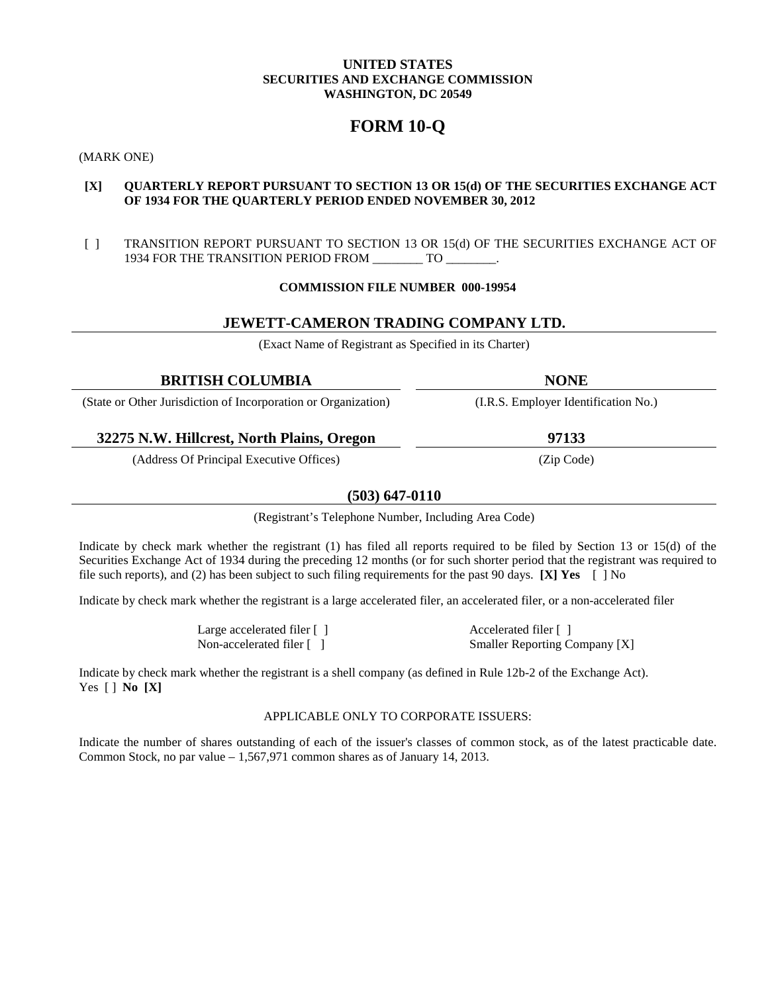# **UNITED STATES SECURITIES AND EXCHANGE COMMISSION WASHINGTON, DC 20549**

# **FORM 10-Q**

(MARK ONE)

# **[X] QUARTERLY REPORT PURSUANT TO SECTION 13 OR 15(d) OF THE SECURITIES EXCHANGE ACT OF 1934 FOR THE QUARTERLY PERIOD ENDED NOVEMBER 30, 2012**

[ ] TRANSITION REPORT PURSUANT TO SECTION 13 OR 15(d) OF THE SECURITIES EXCHANGE ACT OF 1934 FOR THE TRANSITION PERIOD FROM \_\_\_\_\_\_\_\_ TO \_\_\_\_\_\_\_\_.

# **COMMISSION FILE NUMBER 000-19954**

# **JEWETT-CAMERON TRADING COMPANY LTD.**

(Exact Name of Registrant as Specified in its Charter)

| <b>BRITISH COLUMBIA</b>                                        | <b>NONE</b>                          |  |  |
|----------------------------------------------------------------|--------------------------------------|--|--|
| (State or Other Jurisdiction of Incorporation or Organization) | (I.R.S. Employer Identification No.) |  |  |
| 32275 N.W. Hillcrest, North Plains, Oregon                     | 97133                                |  |  |
| (Address Of Principal Executive Offices)                       | (Zip Code)                           |  |  |

# **(503) 647-0110**

(Registrant's Telephone Number, Including Area Code)

Indicate by check mark whether the registrant (1) has filed all reports required to be filed by Section 13 or 15(d) of the Securities Exchange Act of 1934 during the preceding 12 months (or for such shorter period that the registrant was required to file such reports), and (2) has been subject to such filing requirements for the past 90 days. **[X] Yes** [ ] No

Indicate by check mark whether the registrant is a large accelerated filer, an accelerated filer, or a non-accelerated filer

Large accelerated filer [ ] Accelerated filer [ ] Non-accelerated filer [ ] Smaller Reporting Company [X]

Indicate by check mark whether the registrant is a shell company (as defined in Rule 12b-2 of the Exchange Act). Yes [ ] **No [X]**

# APPLICABLE ONLY TO CORPORATE ISSUERS:

Indicate the number of shares outstanding of each of the issuer's classes of common stock, as of the latest practicable date. Common Stock, no par value – 1,567,971 common shares as of January 14, 2013.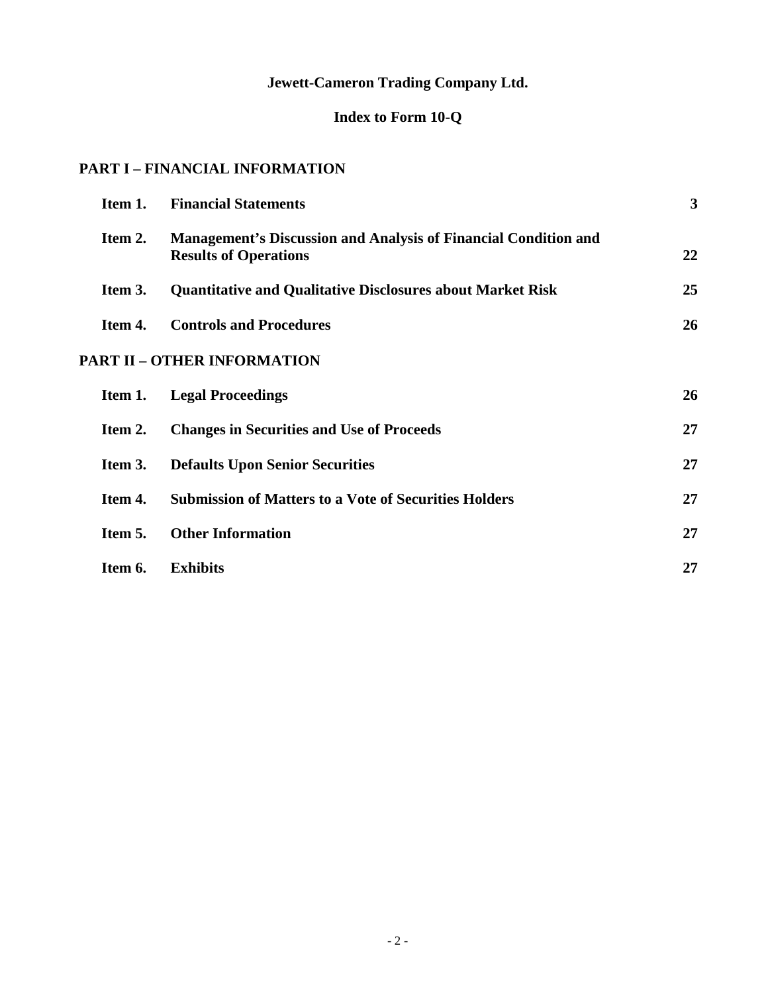# **Jewett-Cameron Trading Company Ltd.**

# **Index to Form 10-Q**

# **PART I – FINANCIAL INFORMATION**

| Item 1. | <b>Financial Statements</b>                                                                            | 3  |
|---------|--------------------------------------------------------------------------------------------------------|----|
| Item 2. | <b>Management's Discussion and Analysis of Financial Condition and</b><br><b>Results of Operations</b> | 22 |
| Item 3. | <b>Quantitative and Qualitative Disclosures about Market Risk</b>                                      | 25 |
| Item 4. | <b>Controls and Procedures</b>                                                                         | 26 |
|         | <b>PART II – OTHER INFORMATION</b>                                                                     |    |
| Item 1. | <b>Legal Proceedings</b>                                                                               | 26 |
| Item 2. | <b>Changes in Securities and Use of Proceeds</b>                                                       | 27 |
| Item 3. | <b>Defaults Upon Senior Securities</b>                                                                 | 27 |
| Item 4. | <b>Submission of Matters to a Vote of Securities Holders</b>                                           | 27 |
| Item 5. | <b>Other Information</b>                                                                               | 27 |
| Item 6. | <b>Exhibits</b>                                                                                        | 27 |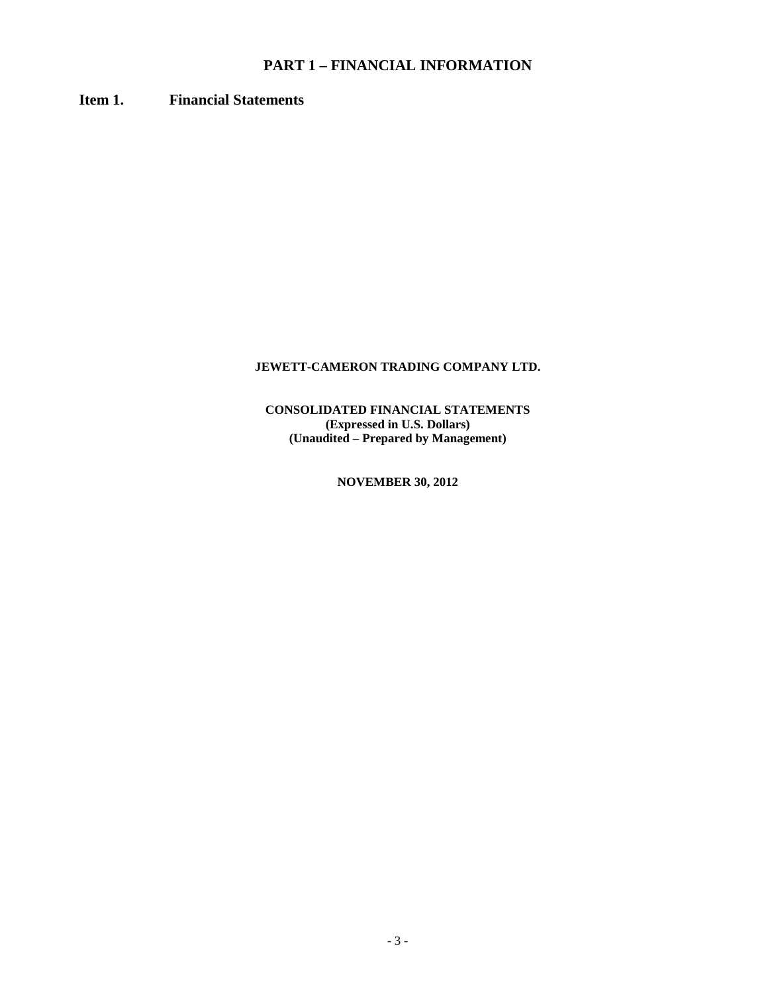# **PART 1 – FINANCIAL INFORMATION**

# **Item 1. Financial Statements**

# **JEWETT-CAMERON TRADING COMPANY LTD.**

**CONSOLIDATED FINANCIAL STATEMENTS (Expressed in U.S. Dollars) (Unaudited – Prepared by Management)**

**NOVEMBER 30, 2012**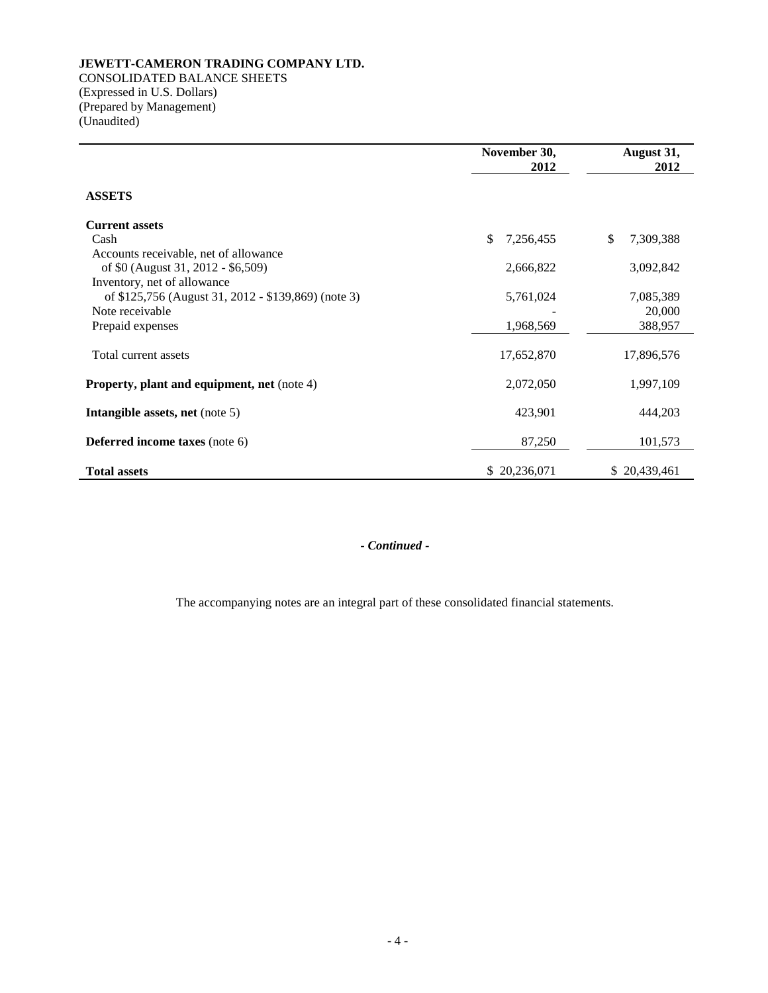CONSOLIDATED BALANCE SHEETS (Expressed in U.S. Dollars) (Prepared by Management) (Unaudited)

|                                                                                    | November 30,<br>2012       | August 31,<br>2012 |
|------------------------------------------------------------------------------------|----------------------------|--------------------|
| <b>ASSETS</b>                                                                      |                            |                    |
| <b>Current assets</b>                                                              |                            |                    |
| Cash                                                                               | <sup>\$</sup><br>7,256,455 | \$<br>7,309,388    |
| Accounts receivable, net of allowance                                              |                            |                    |
| of \$0 (August 31, 2012 - \$6,509)                                                 | 2,666,822                  | 3,092,842          |
| Inventory, net of allowance<br>of \$125,756 (August 31, 2012 - \$139,869) (note 3) | 5,761,024                  | 7,085,389          |
| Note receivable                                                                    |                            | 20,000             |
| Prepaid expenses                                                                   | 1,968,569                  | 388,957            |
|                                                                                    |                            |                    |
| Total current assets                                                               | 17,652,870                 | 17,896,576         |
| <b>Property, plant and equipment, net</b> (note 4)                                 | 2,072,050                  | 1,997,109          |
| Intangible assets, net (note 5)                                                    | 423,901                    | 444,203            |
| <b>Deferred income taxes</b> (note 6)                                              | 87,250                     | 101,573            |
| <b>Total assets</b>                                                                | \$20,236,071               | \$20,439,461       |

*- Continued -*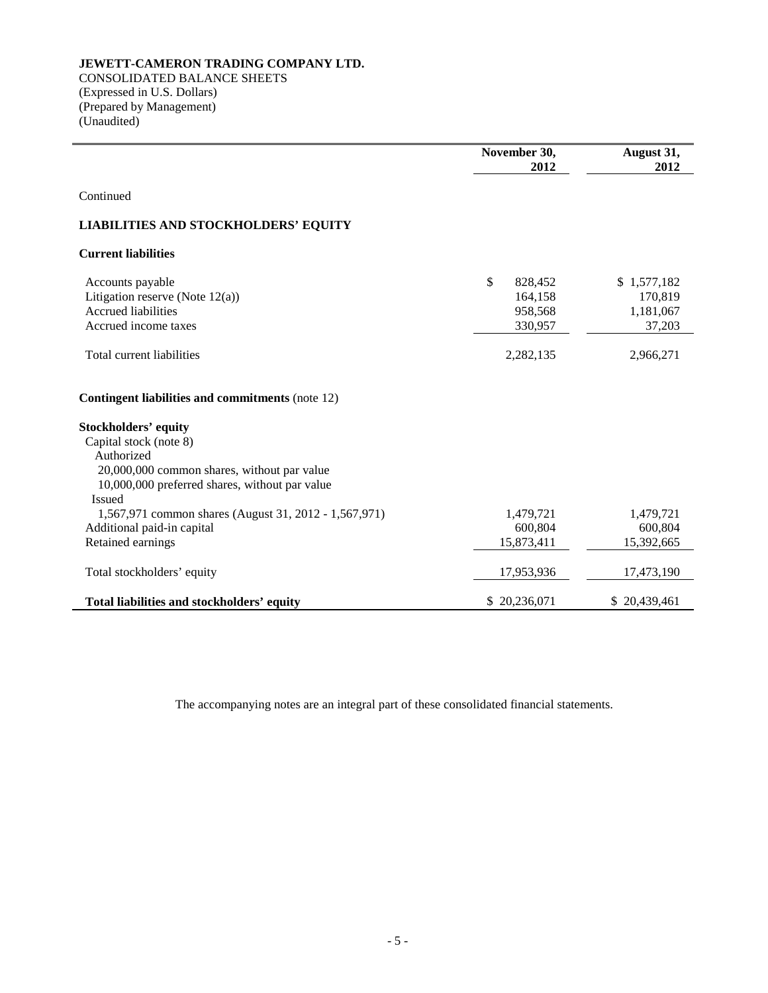CONSOLIDATED BALANCE SHEETS (Expressed in U.S. Dollars) (Prepared by Management) (Unaudited)

l,

|                                                                                                                                                                                       | November 30,<br>2012                           | August 31,<br>2012                            |
|---------------------------------------------------------------------------------------------------------------------------------------------------------------------------------------|------------------------------------------------|-----------------------------------------------|
| Continued                                                                                                                                                                             |                                                |                                               |
| <b>LIABILITIES AND STOCKHOLDERS' EQUITY</b>                                                                                                                                           |                                                |                                               |
| <b>Current liabilities</b>                                                                                                                                                            |                                                |                                               |
| Accounts payable<br>Litigation reserve (Note $12(a)$ )<br><b>Accrued liabilities</b><br>Accrued income taxes                                                                          | \$<br>828,452<br>164,158<br>958,568<br>330,957 | \$1,577,182<br>170,819<br>1,181,067<br>37,203 |
| Total current liabilities                                                                                                                                                             | 2,282,135                                      | 2,966,271                                     |
| Contingent liabilities and commitments (note 12)                                                                                                                                      |                                                |                                               |
| <b>Stockholders' equity</b><br>Capital stock (note 8)<br>Authorized<br>20,000,000 common shares, without par value<br>10,000,000 preferred shares, without par value<br><b>Issued</b> |                                                |                                               |
| 1,567,971 common shares (August 31, 2012 - 1,567,971)<br>Additional paid-in capital<br>Retained earnings                                                                              | 1,479,721<br>600,804<br>15,873,411             | 1,479,721<br>600,804<br>15,392,665            |
| Total stockholders' equity                                                                                                                                                            | 17,953,936                                     | 17,473,190                                    |
| Total liabilities and stockholders' equity                                                                                                                                            | \$20,236,071                                   | \$20,439,461                                  |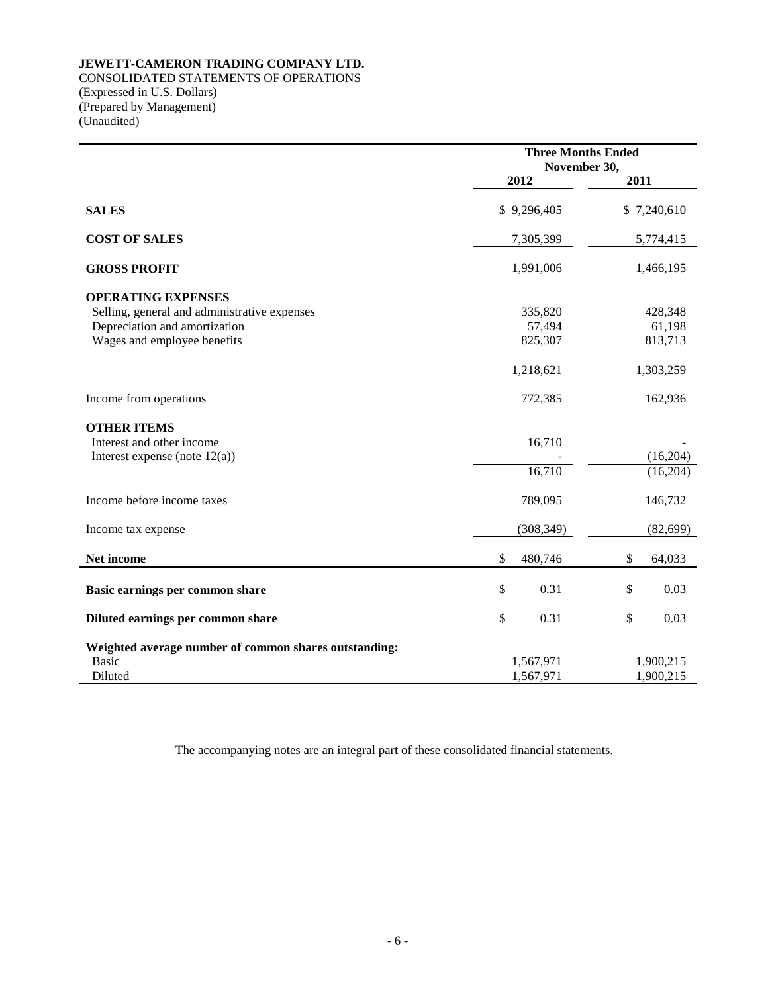# CONSOLIDATED STATEMENTS OF OPERATIONS (Expressed in U.S. Dollars) (Prepared by Management) (Unaudited)

|                                                                                                                                           | <b>Three Months Ended</b><br>November 30, |                              |  |  |
|-------------------------------------------------------------------------------------------------------------------------------------------|-------------------------------------------|------------------------------|--|--|
|                                                                                                                                           | 2012                                      | 2011                         |  |  |
| <b>SALES</b>                                                                                                                              | \$9,296,405                               | \$7,240,610                  |  |  |
| <b>COST OF SALES</b>                                                                                                                      | 7,305,399                                 | 5,774,415                    |  |  |
| <b>GROSS PROFIT</b>                                                                                                                       | 1,991,006                                 | 1,466,195                    |  |  |
| <b>OPERATING EXPENSES</b><br>Selling, general and administrative expenses<br>Depreciation and amortization<br>Wages and employee benefits | 335,820<br>57,494<br>825,307              | 428,348<br>61,198<br>813,713 |  |  |
|                                                                                                                                           | 1,218,621                                 | 1,303,259                    |  |  |
| Income from operations                                                                                                                    | 772,385                                   | 162,936                      |  |  |
| <b>OTHER ITEMS</b><br>Interest and other income<br>Interest expense (note $12(a)$ )                                                       | 16,710<br>16,710                          | (16,204)<br>(16,204)         |  |  |
| Income before income taxes                                                                                                                | 789,095                                   | 146,732                      |  |  |
| Income tax expense                                                                                                                        | (308, 349)                                | (82, 699)                    |  |  |
| Net income                                                                                                                                | \$<br>480,746                             | \$<br>64,033                 |  |  |
| Basic earnings per common share                                                                                                           | \$<br>0.31                                | \$<br>0.03                   |  |  |
| Diluted earnings per common share                                                                                                         | \$<br>0.31                                | \$<br>0.03                   |  |  |
| Weighted average number of common shares outstanding:<br><b>Basic</b><br>Diluted                                                          | 1,567,971<br>1,567,971                    | 1,900,215<br>1,900,215       |  |  |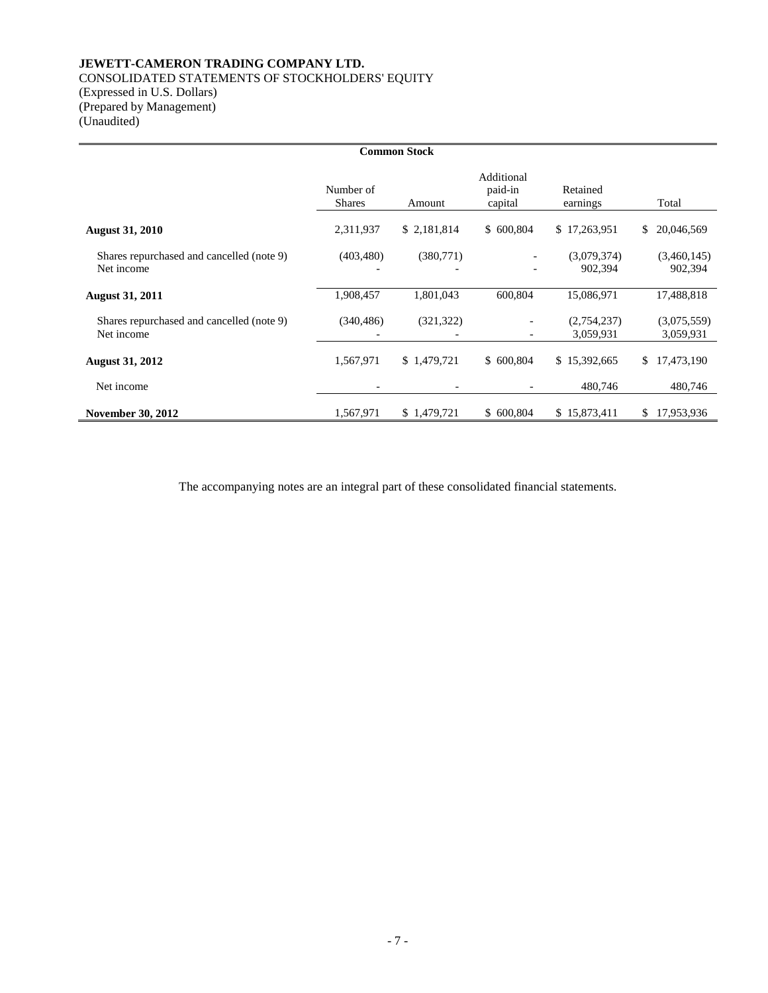# CONSOLIDATED STATEMENTS OF STOCKHOLDERS' EQUITY

(Expressed in U.S. Dollars) (Prepared by Management) (Unaudited)

| <b>Common Stock</b>                                     |                            |             |                                  |                          |                          |  |
|---------------------------------------------------------|----------------------------|-------------|----------------------------------|--------------------------|--------------------------|--|
|                                                         | Number of<br><b>Shares</b> | Amount      | Additional<br>paid-in<br>capital | Retained<br>earnings     | Total                    |  |
| <b>August 31, 2010</b>                                  | 2,311,937                  | \$2,181,814 | \$600,804                        | \$17,263,951             | 20,046,569<br>\$.        |  |
| Shares repurchased and cancelled (note 9)<br>Net income | (403, 480)                 | (380,771)   | $\overline{\phantom{a}}$         | (3,079,374)<br>902,394   | (3,460,145)<br>902,394   |  |
| <b>August 31, 2011</b>                                  | 1,908,457                  | 1,801,043   | 600,804                          | 15,086,971               | 17,488,818               |  |
| Shares repurchased and cancelled (note 9)<br>Net income | (340, 486)                 | (321, 322)  |                                  | (2,754,237)<br>3,059,931 | (3,075,559)<br>3,059,931 |  |
| <b>August 31, 2012</b>                                  | 1,567,971                  | \$1,479,721 | \$600,804                        | \$15,392,665             | 17,473,190<br>\$         |  |
| Net income                                              |                            |             |                                  | 480,746                  | 480,746                  |  |
| <b>November 30, 2012</b>                                | 1,567,971                  | \$1,479,721 | \$600,804                        | \$15,873,411             | \$17,953,936             |  |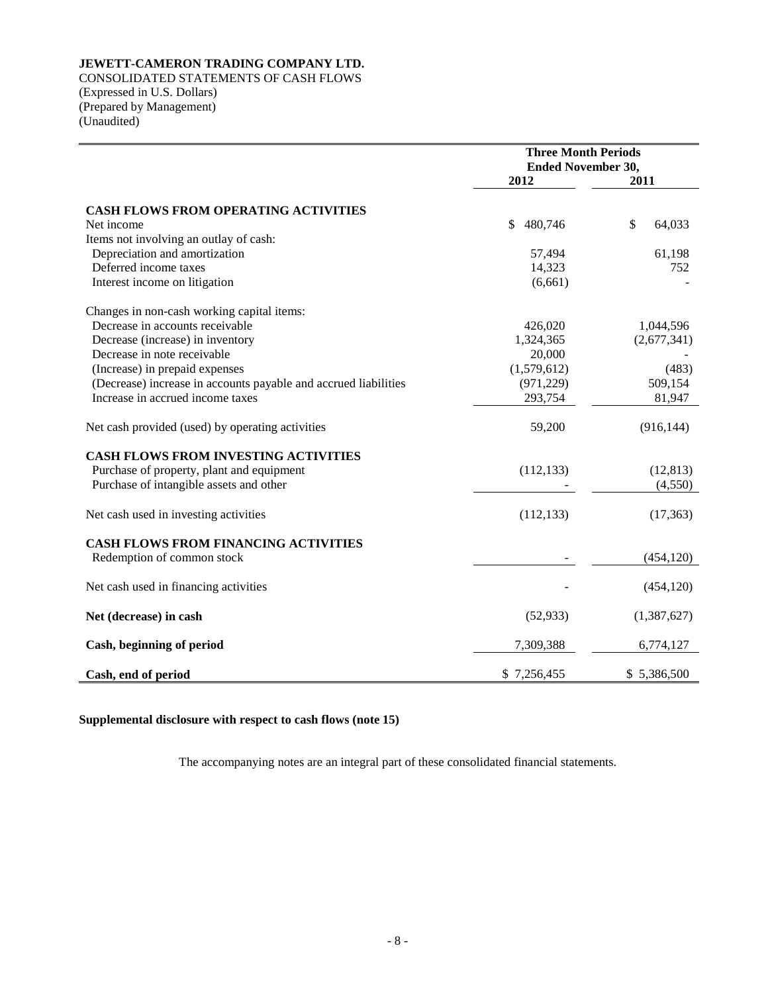# CONSOLIDATED STATEMENTS OF CASH FLOWS (Expressed in U.S. Dollars) (Prepared by Management) (Unaudited)

|                                                                 | <b>Three Month Periods</b><br><b>Ended November 30,</b> |              |
|-----------------------------------------------------------------|---------------------------------------------------------|--------------|
|                                                                 | 2012                                                    | 2011         |
| <b>CASH FLOWS FROM OPERATING ACTIVITIES</b><br>Net income       | \$<br>480,746                                           | \$<br>64,033 |
| Items not involving an outlay of cash:                          |                                                         |              |
| Depreciation and amortization                                   | 57,494                                                  | 61,198       |
| Deferred income taxes                                           | 14,323                                                  | 752          |
| Interest income on litigation                                   | (6,661)                                                 |              |
| Changes in non-cash working capital items:                      |                                                         |              |
| Decrease in accounts receivable                                 | 426,020                                                 | 1,044,596    |
| Decrease (increase) in inventory                                | 1,324,365                                               | (2,677,341)  |
| Decrease in note receivable                                     | 20,000                                                  |              |
| (Increase) in prepaid expenses                                  | (1,579,612)                                             | (483)        |
| (Decrease) increase in accounts payable and accrued liabilities | (971, 229)                                              | 509,154      |
| Increase in accrued income taxes                                | 293,754                                                 | 81,947       |
| Net cash provided (used) by operating activities                | 59,200                                                  | (916, 144)   |
| <b>CASH FLOWS FROM INVESTING ACTIVITIES</b>                     |                                                         |              |
| Purchase of property, plant and equipment                       | (112, 133)                                              | (12, 813)    |
| Purchase of intangible assets and other                         |                                                         | (4,550)      |
| Net cash used in investing activities                           | (112, 133)                                              | (17, 363)    |
| <b>CASH FLOWS FROM FINANCING ACTIVITIES</b>                     |                                                         |              |
| Redemption of common stock                                      |                                                         | (454, 120)   |
| Net cash used in financing activities                           |                                                         | (454, 120)   |
| Net (decrease) in cash                                          | (52, 933)                                               | (1,387,627)  |
| Cash, beginning of period                                       | 7,309,388                                               | 6,774,127    |
| Cash, end of period                                             | \$7,256,455                                             | \$5,386,500  |

# **Supplemental disclosure with respect to cash flows (note 15)**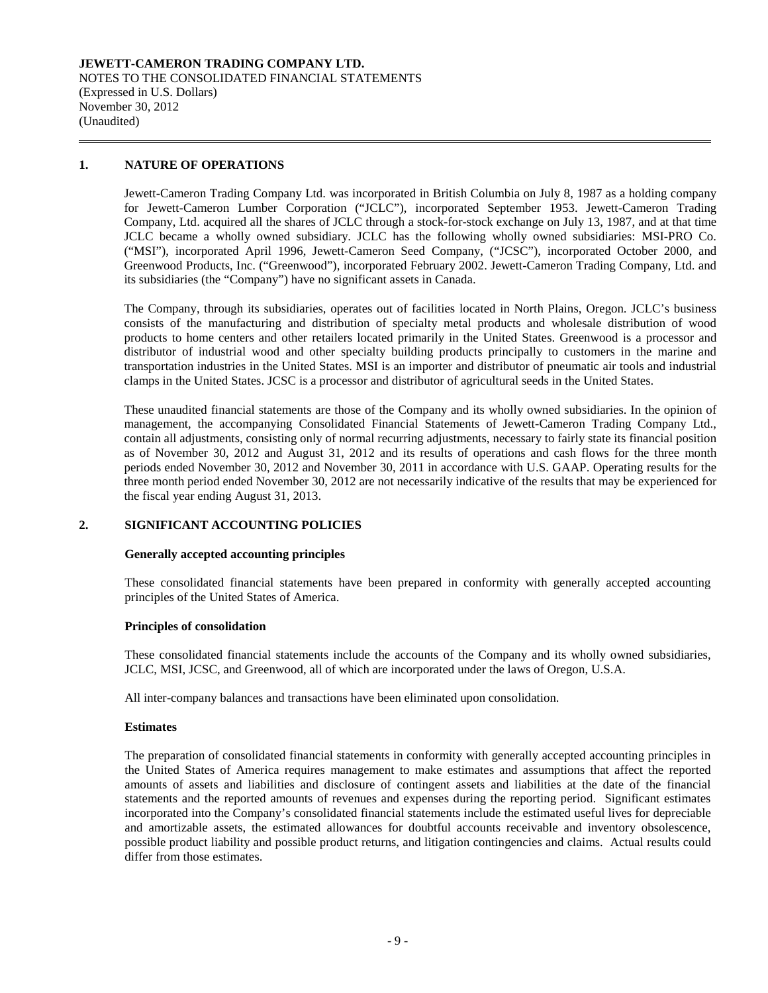## **JEWETT-CAMERON TRADING COMPANY LTD.** NOTES TO THE CONSOLIDATED FINANCIAL STATEMENTS (Expressed in U.S. Dollars) November 30, 2012 (Unaudited)

# **1. NATURE OF OPERATIONS**

Jewett-Cameron Trading Company Ltd. was incorporated in British Columbia on July 8, 1987 as a holding company for Jewett-Cameron Lumber Corporation ("JCLC"), incorporated September 1953. Jewett-Cameron Trading Company, Ltd. acquired all the shares of JCLC through a stock-for-stock exchange on July 13, 1987, and at that time JCLC became a wholly owned subsidiary. JCLC has the following wholly owned subsidiaries: MSI-PRO Co. ("MSI"), incorporated April 1996, Jewett-Cameron Seed Company, ("JCSC"), incorporated October 2000, and Greenwood Products, Inc. ("Greenwood"), incorporated February 2002. Jewett-Cameron Trading Company, Ltd. and its subsidiaries (the "Company") have no significant assets in Canada.

The Company, through its subsidiaries, operates out of facilities located in North Plains, Oregon. JCLC's business consists of the manufacturing and distribution of specialty metal products and wholesale distribution of wood products to home centers and other retailers located primarily in the United States. Greenwood is a processor and distributor of industrial wood and other specialty building products principally to customers in the marine and transportation industries in the United States. MSI is an importer and distributor of pneumatic air tools and industrial clamps in the United States. JCSC is a processor and distributor of agricultural seeds in the United States.

These unaudited financial statements are those of the Company and its wholly owned subsidiaries. In the opinion of management, the accompanying Consolidated Financial Statements of Jewett-Cameron Trading Company Ltd., contain all adjustments, consisting only of normal recurring adjustments, necessary to fairly state its financial position as of November 30, 2012 and August 31, 2012 and its results of operations and cash flows for the three month periods ended November 30, 2012 and November 30, 2011 in accordance with U.S. GAAP. Operating results for the three month period ended November 30, 2012 are not necessarily indicative of the results that may be experienced for the fiscal year ending August 31, 2013.

### **2. SIGNIFICANT ACCOUNTING POLICIES**

#### **Generally accepted accounting principles**

These consolidated financial statements have been prepared in conformity with generally accepted accounting principles of the United States of America.

#### **Principles of consolidation**

These consolidated financial statements include the accounts of the Company and its wholly owned subsidiaries, JCLC, MSI, JCSC, and Greenwood, all of which are incorporated under the laws of Oregon, U.S.A.

All inter-company balances and transactions have been eliminated upon consolidation.

#### **Estimates**

The preparation of consolidated financial statements in conformity with generally accepted accounting principles in the United States of America requires management to make estimates and assumptions that affect the reported amounts of assets and liabilities and disclosure of contingent assets and liabilities at the date of the financial statements and the reported amounts of revenues and expenses during the reporting period. Significant estimates incorporated into the Company's consolidated financial statements include the estimated useful lives for depreciable and amortizable assets, the estimated allowances for doubtful accounts receivable and inventory obsolescence, possible product liability and possible product returns, and litigation contingencies and claims. Actual results could differ from those estimates.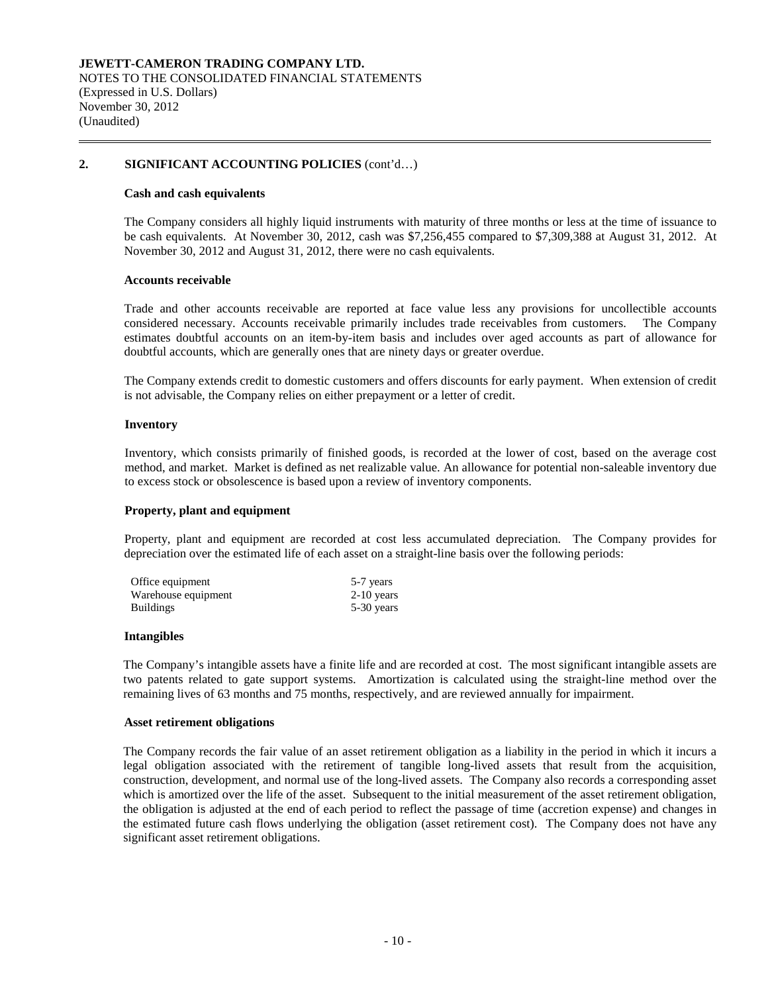#### **Cash and cash equivalents**

The Company considers all highly liquid instruments with maturity of three months or less at the time of issuance to be cash equivalents. At November 30, 2012, cash was \$7,256,455 compared to \$7,309,388 at August 31, 2012. At November 30, 2012 and August 31, 2012, there were no cash equivalents.

#### **Accounts receivable**

Trade and other accounts receivable are reported at face value less any provisions for uncollectible accounts considered necessary. Accounts receivable primarily includes trade receivables from customers. The Company estimates doubtful accounts on an item-by-item basis and includes over aged accounts as part of allowance for doubtful accounts, which are generally ones that are ninety days or greater overdue.

The Company extends credit to domestic customers and offers discounts for early payment. When extension of credit is not advisable, the Company relies on either prepayment or a letter of credit.

#### **Inventory**

Inventory, which consists primarily of finished goods, is recorded at the lower of cost, based on the average cost method, and market. Market is defined as net realizable value. An allowance for potential non-saleable inventory due to excess stock or obsolescence is based upon a review of inventory components.

#### **Property, plant and equipment**

Property, plant and equipment are recorded at cost less accumulated depreciation. The Company provides for depreciation over the estimated life of each asset on a straight-line basis over the following periods:

| Office equipment    | 5-7 years    |
|---------------------|--------------|
| Warehouse equipment | $2-10$ years |
| <b>Buildings</b>    | 5-30 years   |

#### **Intangibles**

The Company's intangible assets have a finite life and are recorded at cost. The most significant intangible assets are two patents related to gate support systems. Amortization is calculated using the straight-line method over the remaining lives of 63 months and 75 months, respectively, and are reviewed annually for impairment.

#### **Asset retirement obligations**

The Company records the fair value of an asset retirement obligation as a liability in the period in which it incurs a legal obligation associated with the retirement of tangible long-lived assets that result from the acquisition, construction, development, and normal use of the long-lived assets. The Company also records a corresponding asset which is amortized over the life of the asset. Subsequent to the initial measurement of the asset retirement obligation, the obligation is adjusted at the end of each period to reflect the passage of time (accretion expense) and changes in the estimated future cash flows underlying the obligation (asset retirement cost). The Company does not have any significant asset retirement obligations.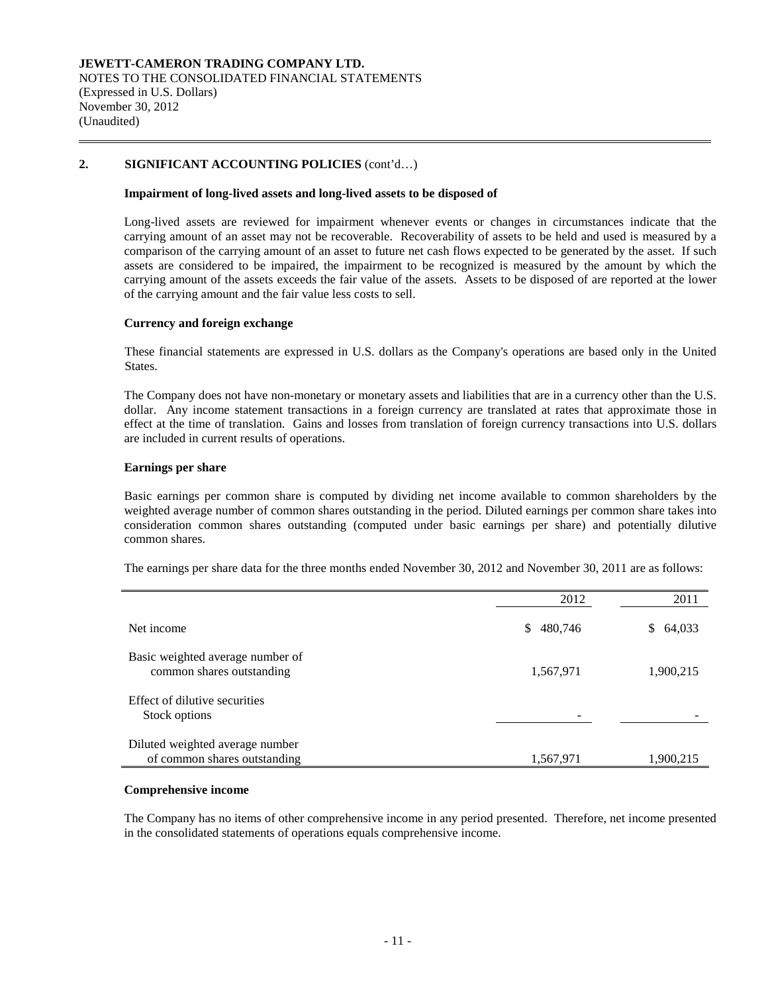#### **Impairment of long-lived assets and long-lived assets to be disposed of**

Long-lived assets are reviewed for impairment whenever events or changes in circumstances indicate that the carrying amount of an asset may not be recoverable. Recoverability of assets to be held and used is measured by a comparison of the carrying amount of an asset to future net cash flows expected to be generated by the asset. If such assets are considered to be impaired, the impairment to be recognized is measured by the amount by which the carrying amount of the assets exceeds the fair value of the assets. Assets to be disposed of are reported at the lower of the carrying amount and the fair value less costs to sell.

#### **Currency and foreign exchange**

These financial statements are expressed in U.S. dollars as the Company's operations are based only in the United States.

The Company does not have non-monetary or monetary assets and liabilities that are in a currency other than the U.S. dollar. Any income statement transactions in a foreign currency are translated at rates that approximate those in effect at the time of translation. Gains and losses from translation of foreign currency transactions into U.S. dollars are included in current results of operations.

### **Earnings per share**

Basic earnings per common share is computed by dividing net income available to common shareholders by the weighted average number of common shares outstanding in the period. Diluted earnings per common share takes into consideration common shares outstanding (computed under basic earnings per share) and potentially dilutive common shares.

The earnings per share data for the three months ended November 30, 2012 and November 30, 2011 are as follows:

|                                                                 | 2012          | 2011         |
|-----------------------------------------------------------------|---------------|--------------|
| Net income                                                      | \$<br>480,746 | 64,033<br>S. |
| Basic weighted average number of<br>common shares outstanding   | 1,567,971     | 1,900,215    |
| Effect of dilutive securities<br>Stock options                  |               |              |
| Diluted weighted average number<br>of common shares outstanding | 1,567,971     | 1,900,215    |

#### **Comprehensive income**

The Company has no items of other comprehensive income in any period presented. Therefore, net income presented in the consolidated statements of operations equals comprehensive income.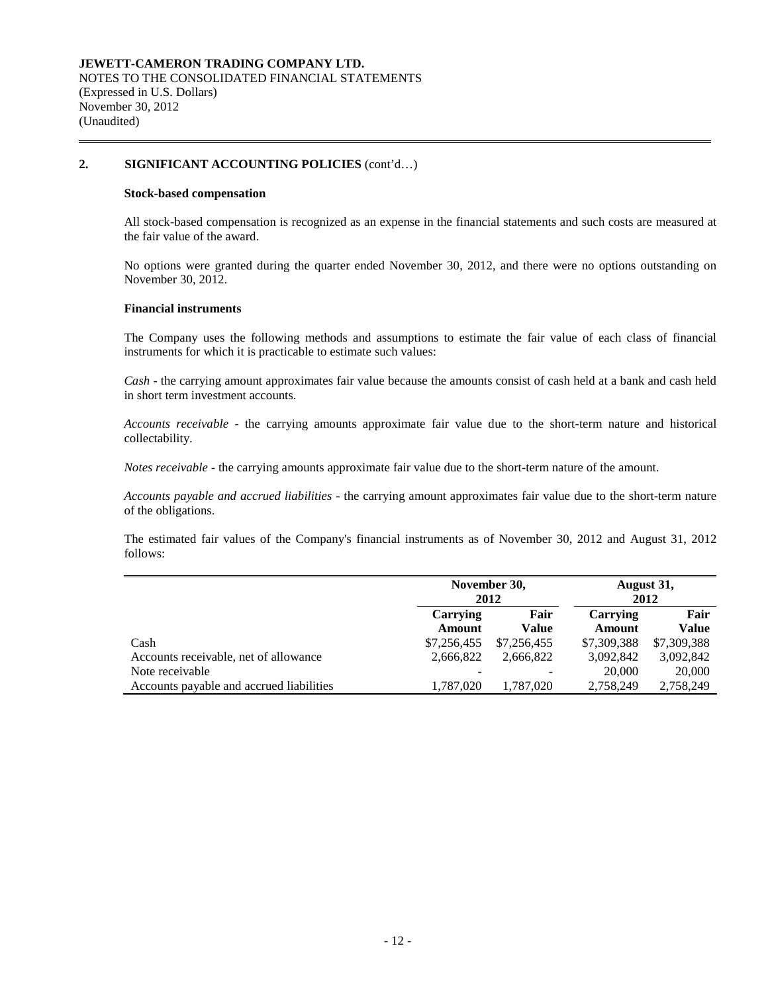#### **Stock-based compensation**

All stock-based compensation is recognized as an expense in the financial statements and such costs are measured at the fair value of the award.

No options were granted during the quarter ended November 30, 2012, and there were no options outstanding on November 30, 2012.

#### **Financial instruments**

The Company uses the following methods and assumptions to estimate the fair value of each class of financial instruments for which it is practicable to estimate such values:

*Cash* - the carrying amount approximates fair value because the amounts consist of cash held at a bank and cash held in short term investment accounts.

*Accounts receivable* - the carrying amounts approximate fair value due to the short-term nature and historical collectability.

*Notes receivable* - the carrying amounts approximate fair value due to the short-term nature of the amount.

*Accounts payable and accrued liabilities* - the carrying amount approximates fair value due to the short-term nature of the obligations.

The estimated fair values of the Company's financial instruments as of November 30, 2012 and August 31, 2012 follows:

|                                          | November 30,<br>2012<br>Fair<br>Carrying<br>Value<br>Amount |             | August 31,<br>2012 |                      |  |  |
|------------------------------------------|-------------------------------------------------------------|-------------|--------------------|----------------------|--|--|
|                                          |                                                             |             | Carrying<br>Amount | Fair<br><b>Value</b> |  |  |
| Cash                                     | \$7,256,455                                                 | \$7,256,455 | \$7,309,388        | \$7,309,388          |  |  |
| Accounts receivable, net of allowance    | 2,666,822                                                   | 2,666,822   | 3,092,842          | 3,092,842            |  |  |
| Note receivable                          |                                                             |             | 20,000             | 20,000               |  |  |
| Accounts payable and accrued liabilities | 1,787,020                                                   | 1.787.020   | 2,758,249          | 2,758,249            |  |  |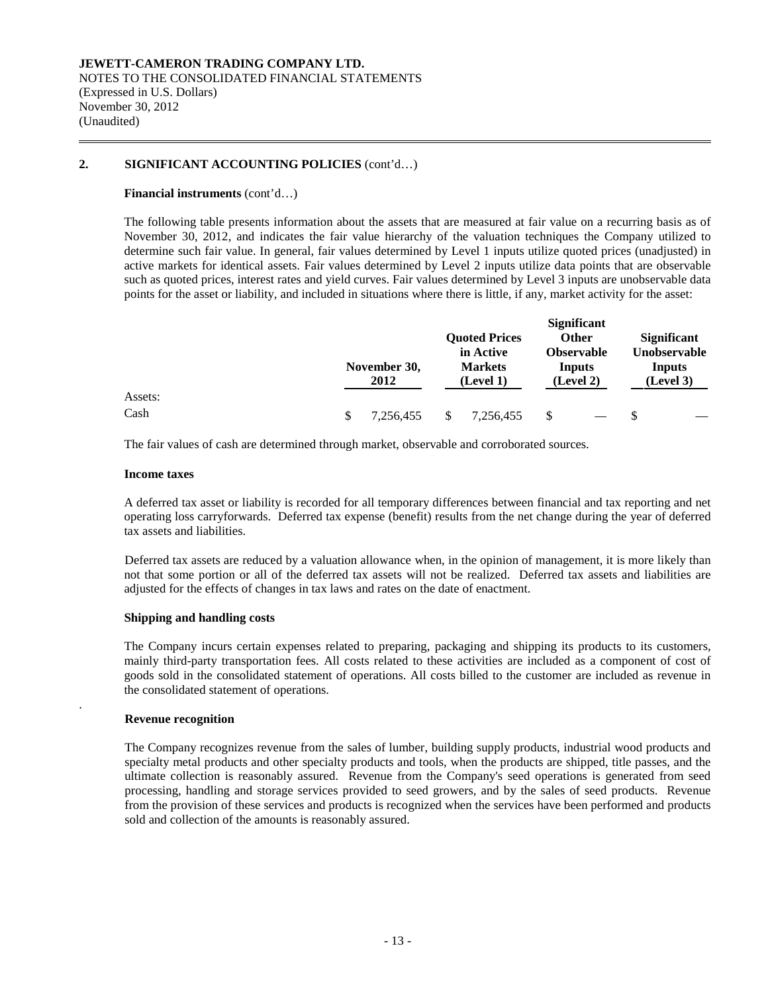#### **Financial instruments** (cont'd…)

The following table presents information about the assets that are measured at fair value on a recurring basis as of November 30, 2012, and indicates the fair value hierarchy of the valuation techniques the Company utilized to determine such fair value. In general, fair values determined by Level 1 inputs utilize quoted prices (unadjusted) in active markets for identical assets. Fair values determined by Level 2 inputs utilize data points that are observable such as quoted prices, interest rates and yield curves. Fair values determined by Level 3 inputs are unobservable data points for the asset or liability, and included in situations where there is little, if any, market activity for the asset:

|         | November 30,<br>2012 | <b>Quoted Prices</b><br>in Active<br><b>Markets</b><br>(Level 1) | <b>Significant</b><br><b>Other</b><br><b>Observable</b><br>Inputs<br>(Level 2) | <b>Significant</b><br><b>Unobservable</b><br>Inputs<br>(Level 3) |
|---------|----------------------|------------------------------------------------------------------|--------------------------------------------------------------------------------|------------------------------------------------------------------|
| Assets: |                      |                                                                  |                                                                                |                                                                  |
| Cash    | \$<br>7,256,455      | 7,256,455                                                        | \$                                                                             |                                                                  |

The fair values of cash are determined through market, observable and corroborated sources.

#### **Income taxes**

A deferred tax asset or liability is recorded for all temporary differences between financial and tax reporting and net operating loss carryforwards. Deferred tax expense (benefit) results from the net change during the year of deferred tax assets and liabilities.

Deferred tax assets are reduced by a valuation allowance when, in the opinion of management, it is more likely than not that some portion or all of the deferred tax assets will not be realized. Deferred tax assets and liabilities are adjusted for the effects of changes in tax laws and rates on the date of enactment.

#### **Shipping and handling costs**

The Company incurs certain expenses related to preparing, packaging and shipping its products to its customers, mainly third-party transportation fees. All costs related to these activities are included as a component of cost of goods sold in the consolidated statement of operations. All costs billed to the customer are included as revenue in the consolidated statement of operations.

#### **Revenue recognition**

.

The Company recognizes revenue from the sales of lumber, building supply products, industrial wood products and specialty metal products and other specialty products and tools, when the products are shipped, title passes, and the ultimate collection is reasonably assured. Revenue from the Company's seed operations is generated from seed processing, handling and storage services provided to seed growers, and by the sales of seed products. Revenue from the provision of these services and products is recognized when the services have been performed and products sold and collection of the amounts is reasonably assured.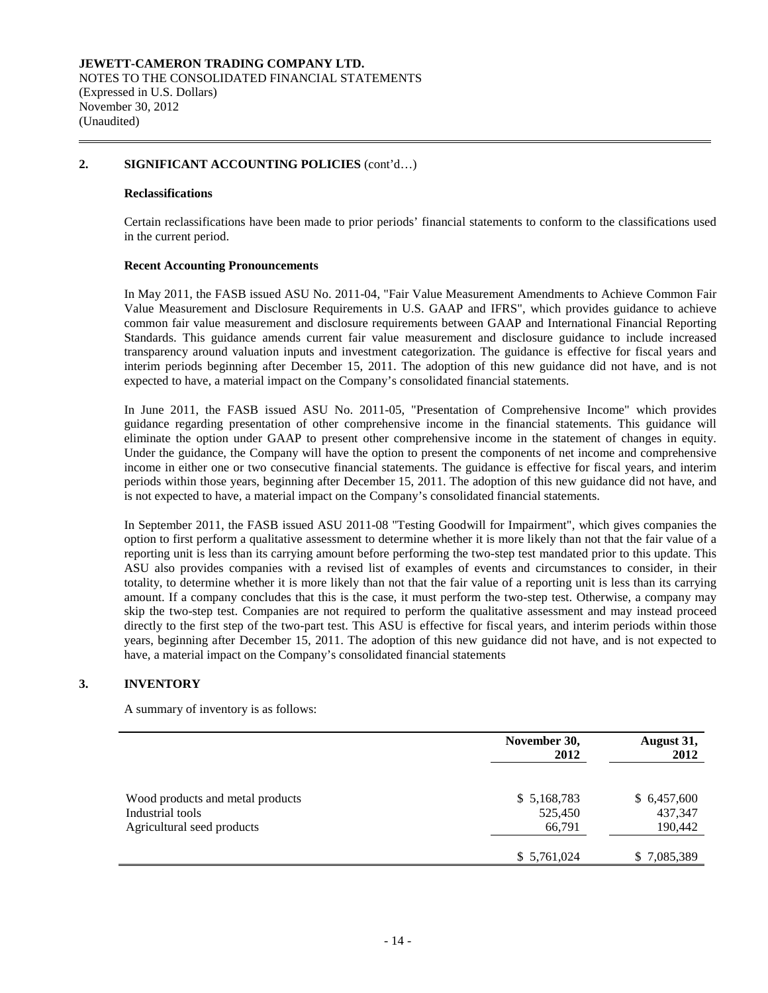#### **Reclassifications**

Certain reclassifications have been made to prior periods' financial statements to conform to the classifications used in the current period.

#### **Recent Accounting Pronouncements**

In May 2011, the FASB issued ASU No. 2011-04, "Fair Value Measurement Amendments to Achieve Common Fair Value Measurement and Disclosure Requirements in U.S. GAAP and IFRS", which provides guidance to achieve common fair value measurement and disclosure requirements between GAAP and International Financial Reporting Standards. This guidance amends current fair value measurement and disclosure guidance to include increased transparency around valuation inputs and investment categorization. The guidance is effective for fiscal years and interim periods beginning after December 15, 2011. The adoption of this new guidance did not have, and is not expected to have, a material impact on the Company's consolidated financial statements.

In June 2011, the FASB issued ASU No. 2011-05, "Presentation of Comprehensive Income" which provides guidance regarding presentation of other comprehensive income in the financial statements. This guidance will eliminate the option under GAAP to present other comprehensive income in the statement of changes in equity. Under the guidance, the Company will have the option to present the components of net income and comprehensive income in either one or two consecutive financial statements. The guidance is effective for fiscal years, and interim periods within those years, beginning after December 15, 2011. The adoption of this new guidance did not have, and is not expected to have, a material impact on the Company's consolidated financial statements.

In September 2011, the FASB issued ASU 2011-08 "Testing Goodwill for Impairment", which gives companies the option to first perform a qualitative assessment to determine whether it is more likely than not that the fair value of a reporting unit is less than its carrying amount before performing the two-step test mandated prior to this update. This ASU also provides companies with a revised list of examples of events and circumstances to consider, in their totality, to determine whether it is more likely than not that the fair value of a reporting unit is less than its carrying amount. If a company concludes that this is the case, it must perform the two-step test. Otherwise, a company may skip the two-step test. Companies are not required to perform the qualitative assessment and may instead proceed directly to the first step of the two-part test. This ASU is effective for fiscal years, and interim periods within those years, beginning after December 15, 2011. The adoption of this new guidance did not have, and is not expected to have, a material impact on the Company's consolidated financial statements

## **3. INVENTORY**

A summary of inventory is as follows:

|                                                                                    | November 30,<br>2012             | August 31,<br>2012                |
|------------------------------------------------------------------------------------|----------------------------------|-----------------------------------|
| Wood products and metal products<br>Industrial tools<br>Agricultural seed products | \$5,168,783<br>525,450<br>66,791 | \$6,457,600<br>437,347<br>190,442 |
|                                                                                    | \$5,761,024                      | \$7,085,389                       |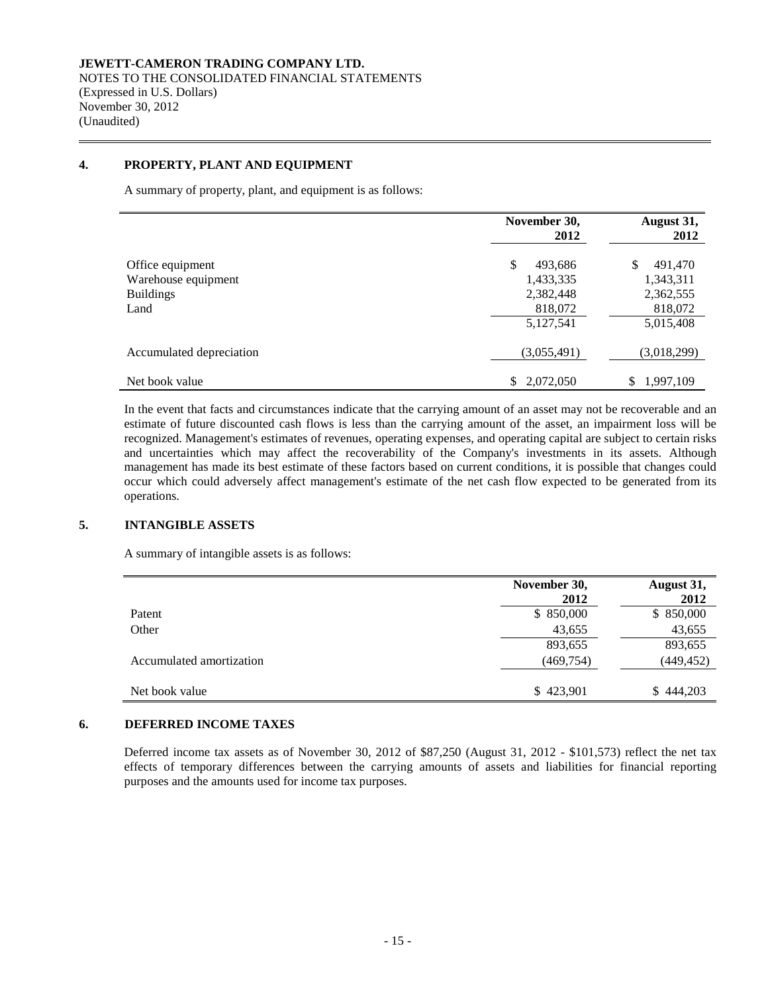# **4. PROPERTY, PLANT AND EQUIPMENT**

A summary of property, plant, and equipment is as follows:

|                          | November 30,<br>2012 | August 31,<br>2012 |
|--------------------------|----------------------|--------------------|
| Office equipment         | \$<br>493,686        | \$<br>491,470      |
| Warehouse equipment      | 1,433,335            | 1,343,311          |
| <b>Buildings</b>         | 2,382,448            | 2,362,555          |
| Land                     | 818,072              | 818,072            |
|                          | 5,127,541            | 5,015,408          |
| Accumulated depreciation | (3,055,491)          | (3,018,299)        |
| Net book value           | 2,072,050<br>\$      | 1,997,109<br>\$    |

In the event that facts and circumstances indicate that the carrying amount of an asset may not be recoverable and an estimate of future discounted cash flows is less than the carrying amount of the asset, an impairment loss will be recognized. Management's estimates of revenues, operating expenses, and operating capital are subject to certain risks and uncertainties which may affect the recoverability of the Company's investments in its assets. Although management has made its best estimate of these factors based on current conditions, it is possible that changes could occur which could adversely affect management's estimate of the net cash flow expected to be generated from its operations.

# **5. INTANGIBLE ASSETS**

A summary of intangible assets is as follows:

|                          | November 30, | August 31, |
|--------------------------|--------------|------------|
|                          | 2012         | 2012       |
| Patent                   | \$850,000    | \$850,000  |
| Other                    | 43,655       | 43,655     |
|                          | 893,655      | 893,655    |
| Accumulated amortization | (469, 754)   | (449, 452) |
| Net book value           | \$423,901    | \$444,203  |

# **6. DEFERRED INCOME TAXES**

Deferred income tax assets as of November 30, 2012 of \$87,250 (August 31, 2012 - \$101,573) reflect the net tax effects of temporary differences between the carrying amounts of assets and liabilities for financial reporting purposes and the amounts used for income tax purposes.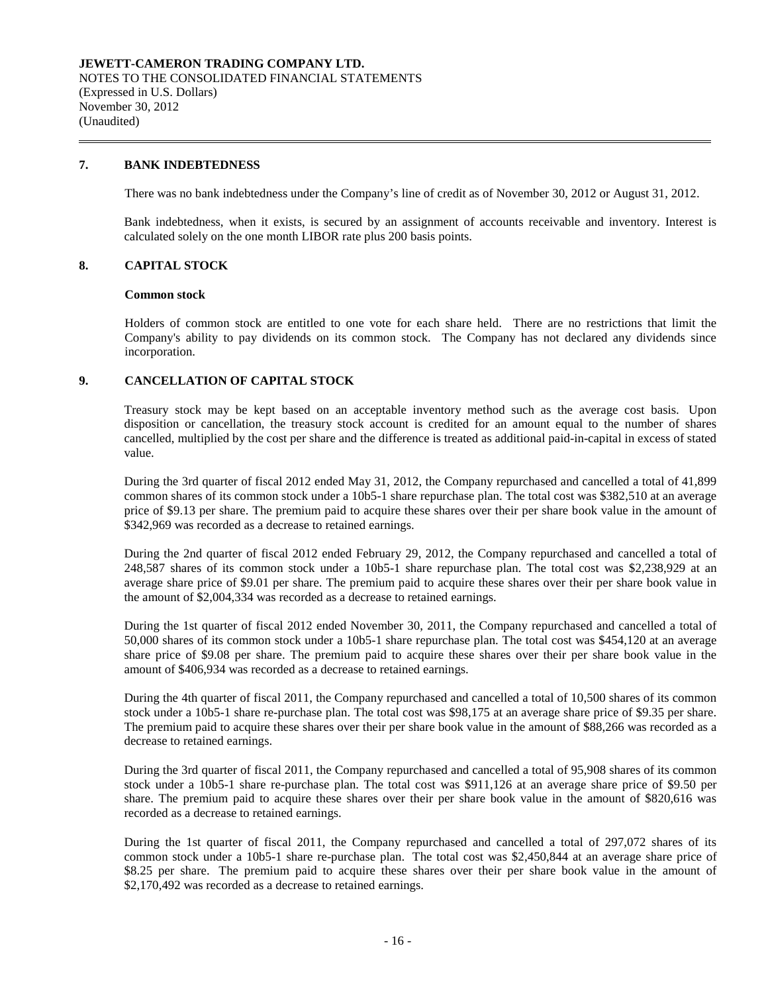# **7. BANK INDEBTEDNESS**

There was no bank indebtedness under the Company's line of credit as of November 30, 2012 or August 31, 2012.

Bank indebtedness, when it exists, is secured by an assignment of accounts receivable and inventory. Interest is calculated solely on the one month LIBOR rate plus 200 basis points.

# **8. CAPITAL STOCK**

#### **Common stock**

Holders of common stock are entitled to one vote for each share held. There are no restrictions that limit the Company's ability to pay dividends on its common stock. The Company has not declared any dividends since incorporation.

### **9. CANCELLATION OF CAPITAL STOCK**

Treasury stock may be kept based on an acceptable inventory method such as the average cost basis. Upon disposition or cancellation, the treasury stock account is credited for an amount equal to the number of shares cancelled, multiplied by the cost per share and the difference is treated as additional paid-in-capital in excess of stated value.

During the 3rd quarter of fiscal 2012 ended May 31, 2012, the Company repurchased and cancelled a total of 41,899 common shares of its common stock under a 10b5-1 share repurchase plan. The total cost was \$382,510 at an average price of \$9.13 per share. The premium paid to acquire these shares over their per share book value in the amount of \$342,969 was recorded as a decrease to retained earnings.

During the 2nd quarter of fiscal 2012 ended February 29, 2012, the Company repurchased and cancelled a total of 248,587 shares of its common stock under a 10b5-1 share repurchase plan. The total cost was \$2,238,929 at an average share price of \$9.01 per share. The premium paid to acquire these shares over their per share book value in the amount of \$2,004,334 was recorded as a decrease to retained earnings.

During the 1st quarter of fiscal 2012 ended November 30, 2011, the Company repurchased and cancelled a total of 50,000 shares of its common stock under a 10b5-1 share repurchase plan. The total cost was \$454,120 at an average share price of \$9.08 per share. The premium paid to acquire these shares over their per share book value in the amount of \$406,934 was recorded as a decrease to retained earnings.

During the 4th quarter of fiscal 2011, the Company repurchased and cancelled a total of 10,500 shares of its common stock under a 10b5-1 share re-purchase plan. The total cost was \$98,175 at an average share price of \$9.35 per share. The premium paid to acquire these shares over their per share book value in the amount of \$88,266 was recorded as a decrease to retained earnings.

During the 3rd quarter of fiscal 2011, the Company repurchased and cancelled a total of 95,908 shares of its common stock under a 10b5-1 share re-purchase plan. The total cost was \$911,126 at an average share price of \$9.50 per share. The premium paid to acquire these shares over their per share book value in the amount of \$820,616 was recorded as a decrease to retained earnings.

During the 1st quarter of fiscal 2011, the Company repurchased and cancelled a total of 297,072 shares of its common stock under a 10b5-1 share re-purchase plan. The total cost was \$2,450,844 at an average share price of \$8.25 per share. The premium paid to acquire these shares over their per share book value in the amount of \$2,170,492 was recorded as a decrease to retained earnings.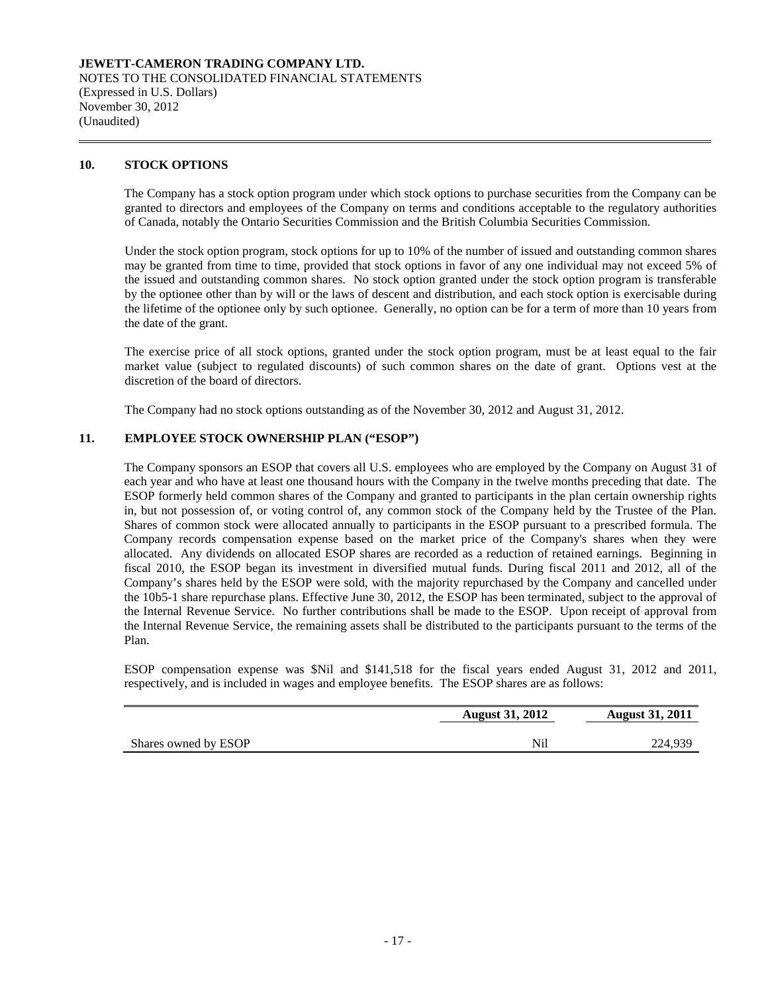### **JEWETT-CAMERON TRADING COMPANY LTD.** NOTES TO THE CONSOLIDATED FINANCIAL STATEMENTS (Expressed in U.S. Dollars) November 30, 2012 (Unaudited)

# **10. STOCK OPTIONS**

The Company has a stock option program under which stock options to purchase securities from the Company can be granted to directors and employees of the Company on terms and conditions acceptable to the regulatory authorities of Canada, notably the Ontario Securities Commission and the British Columbia Securities Commission.

Under the stock option program, stock options for up to 10% of the number of issued and outstanding common shares may be granted from time to time, provided that stock options in favor of any one individual may not exceed 5% of the issued and outstanding common shares. No stock option granted under the stock option program is transferable by the optionee other than by will or the laws of descent and distribution, and each stock option is exercisable during the lifetime of the optionee only by such optionee. Generally, no option can be for a term of more than 10 years from the date of the grant.

The exercise price of all stock options, granted under the stock option program, must be at least equal to the fair market value (subject to regulated discounts) of such common shares on the date of grant. Options vest at the discretion of the board of directors.

The Company had no stock options outstanding as of the November 30, 2012 and August 31, 2012.

# **11. EMPLOYEE STOCK OWNERSHIP PLAN ("ESOP")**

The Company sponsors an ESOP that covers all U.S. employees who are employed by the Company on August 31 of each year and who have at least one thousand hours with the Company in the twelve months preceding that date. The ESOP formerly held common shares of the Company and granted to participants in the plan certain ownership rights in, but not possession of, or voting control of, any common stock of the Company held by the Trustee of the Plan. Shares of common stock were allocated annually to participants in the ESOP pursuant to a prescribed formula. The Company records compensation expense based on the market price of the Company's shares when they were allocated. Any dividends on allocated ESOP shares are recorded as a reduction of retained earnings. Beginning in fiscal 2010, the ESOP began its investment in diversified mutual funds. During fiscal 2011 and 2012, all of the Company's shares held by the ESOP were sold, with the majority repurchased by the Company and cancelled under the 10b5-1 share repurchase plans. Effective June 30, 2012, the ESOP has been terminated, subject to the approval of the Internal Revenue Service. No further contributions shall be made to the ESOP. Upon receipt of approval from the Internal Revenue Service, the remaining assets shall be distributed to the participants pursuant to the terms of the Plan.

ESOP compensation expense was \$Nil and \$141,518 for the fiscal years ended August 31, 2012 and 2011, respectively, and is included in wages and employee benefits. The ESOP shares are as follows:

|                      | <b>August 31, 2012</b> | <b>August 31, 2011</b> |
|----------------------|------------------------|------------------------|
| Shares owned by ESOP | Nil                    | 224,939                |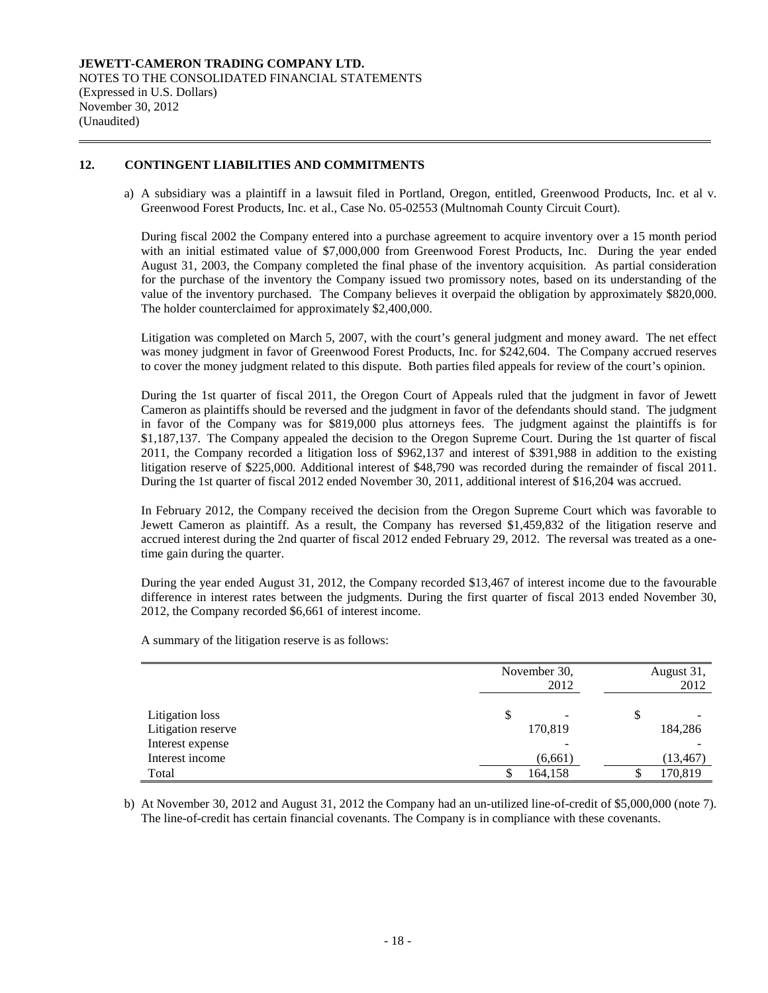### **JEWETT-CAMERON TRADING COMPANY LTD.** NOTES TO THE CONSOLIDATED FINANCIAL STATEMENTS (Expressed in U.S. Dollars) November 30, 2012 (Unaudited)

# **12. CONTINGENT LIABILITIES AND COMMITMENTS**

a) A subsidiary was a plaintiff in a lawsuit filed in Portland, Oregon, entitled, Greenwood Products, Inc. et al v. Greenwood Forest Products, Inc. et al., Case No. 05-02553 (Multnomah County Circuit Court).

During fiscal 2002 the Company entered into a purchase agreement to acquire inventory over a 15 month period with an initial estimated value of \$7,000,000 from Greenwood Forest Products, Inc. During the year ended August 31, 2003, the Company completed the final phase of the inventory acquisition. As partial consideration for the purchase of the inventory the Company issued two promissory notes, based on its understanding of the value of the inventory purchased. The Company believes it overpaid the obligation by approximately \$820,000. The holder counterclaimed for approximately \$2,400,000.

Litigation was completed on March 5, 2007, with the court's general judgment and money award. The net effect was money judgment in favor of Greenwood Forest Products, Inc. for \$242,604. The Company accrued reserves to cover the money judgment related to this dispute. Both parties filed appeals for review of the court's opinion.

During the 1st quarter of fiscal 2011, the Oregon Court of Appeals ruled that the judgment in favor of Jewett Cameron as plaintiffs should be reversed and the judgment in favor of the defendants should stand. The judgment in favor of the Company was for \$819,000 plus attorneys fees. The judgment against the plaintiffs is for \$1,187,137. The Company appealed the decision to the Oregon Supreme Court. During the 1st quarter of fiscal 2011, the Company recorded a litigation loss of \$962,137 and interest of \$391,988 in addition to the existing litigation reserve of \$225,000. Additional interest of \$48,790 was recorded during the remainder of fiscal 2011. During the 1st quarter of fiscal 2012 ended November 30, 2011, additional interest of \$16,204 was accrued.

In February 2012, the Company received the decision from the Oregon Supreme Court which was favorable to Jewett Cameron as plaintiff. As a result, the Company has reversed \$1,459,832 of the litigation reserve and accrued interest during the 2nd quarter of fiscal 2012 ended February 29, 2012. The reversal was treated as a onetime gain during the quarter.

During the year ended August 31, 2012, the Company recorded \$13,467 of interest income due to the favourable difference in interest rates between the judgments. During the first quarter of fiscal 2013 ended November 30, 2012, the Company recorded \$6,661 of interest income.

A summary of the litigation reserve is as follows:

|                    | November 30,<br>2012 | August 31,<br>2012 |  |  |
|--------------------|----------------------|--------------------|--|--|
| Litigation loss    | \$<br>-              | Φ                  |  |  |
| Litigation reserve | 170,819              | 184,286            |  |  |
| Interest expense   |                      |                    |  |  |
| Interest income    | (6, 661)             | (13, 467)          |  |  |
| Total              | 164,158              | 170,819            |  |  |

b) At November 30, 2012 and August 31, 2012 the Company had an un-utilized line-of-credit of \$5,000,000 (note 7). The line-of-credit has certain financial covenants. The Company is in compliance with these covenants.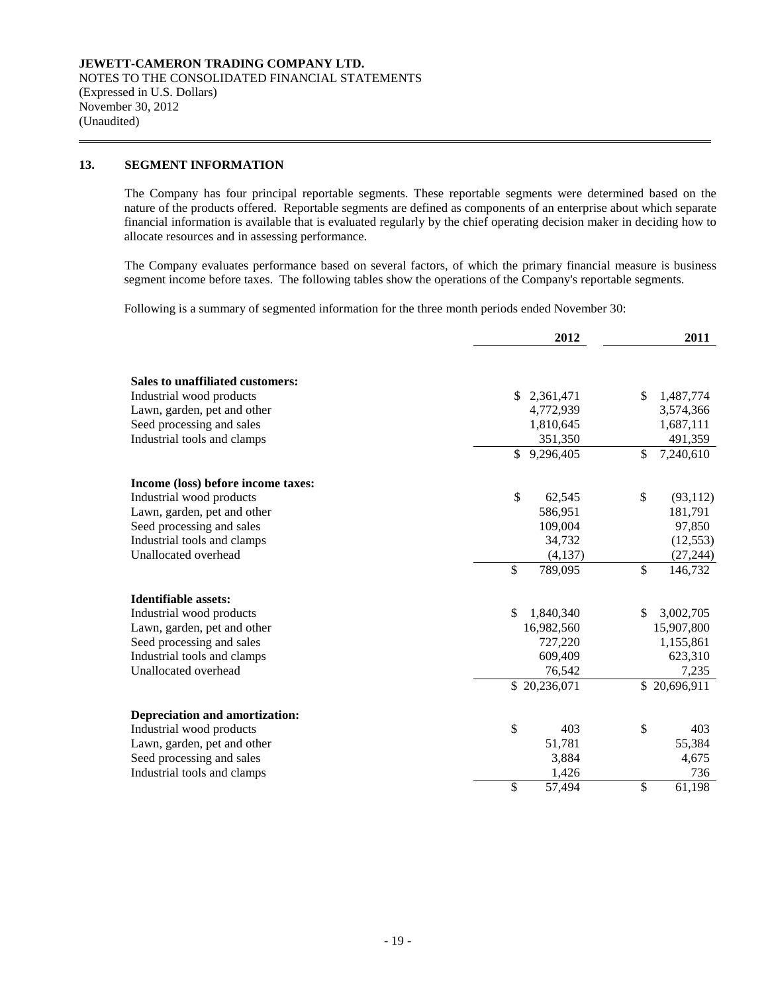# **13. SEGMENT INFORMATION**

The Company has four principal reportable segments. These reportable segments were determined based on the nature of the products offered. Reportable segments are defined as components of an enterprise about which separate financial information is available that is evaluated regularly by the chief operating decision maker in deciding how to allocate resources and in assessing performance.

The Company evaluates performance based on several factors, of which the primary financial measure is business segment income before taxes. The following tables show the operations of the Company's reportable segments.

Following is a summary of segmented information for the three month periods ended November 30:

|                                         | 2012                       | 2011                    |  |
|-----------------------------------------|----------------------------|-------------------------|--|
|                                         |                            |                         |  |
| <b>Sales to unaffiliated customers:</b> |                            |                         |  |
| Industrial wood products                | \$<br>2,361,471            | \$<br>1,487,774         |  |
| Lawn, garden, pet and other             | 4,772,939                  | 3,574,366               |  |
| Seed processing and sales               | 1,810,645                  | 1,687,111               |  |
| Industrial tools and clamps             | 351,350                    | 491,359                 |  |
|                                         | $\mathcal{S}$<br>9,296,405 | \$<br>7,240,610         |  |
| Income (loss) before income taxes:      |                            |                         |  |
| Industrial wood products                | \$<br>62,545               | \$<br>(93, 112)         |  |
| Lawn, garden, pet and other             | 586,951                    | 181,791                 |  |
| Seed processing and sales               | 109,004                    | 97,850                  |  |
| Industrial tools and clamps             | 34,732                     | (12, 553)               |  |
| Unallocated overhead                    | (4, 137)                   | (27, 244)               |  |
|                                         | \$<br>789,095              | $\mathbb{S}$<br>146,732 |  |
| <b>Identifiable assets:</b>             |                            |                         |  |
| Industrial wood products                | \$<br>1,840,340            | \$<br>3,002,705         |  |
| Lawn, garden, pet and other             | 16,982,560                 | 15,907,800              |  |
| Seed processing and sales               | 727,220                    | 1,155,861               |  |
| Industrial tools and clamps             | 609,409                    | 623,310                 |  |
| Unallocated overhead                    | 76,542                     | 7,235                   |  |
|                                         | \$20,236,071               | \$20,696,911            |  |
| Depreciation and amortization:          |                            |                         |  |
| Industrial wood products                | \$<br>403                  | \$<br>403               |  |
| Lawn, garden, pet and other             | 51,781                     | 55,384                  |  |
| Seed processing and sales               | 3,884                      | 4,675                   |  |
| Industrial tools and clamps             | 1,426                      | 736                     |  |
|                                         | \$<br>57,494               | \$<br>61.198            |  |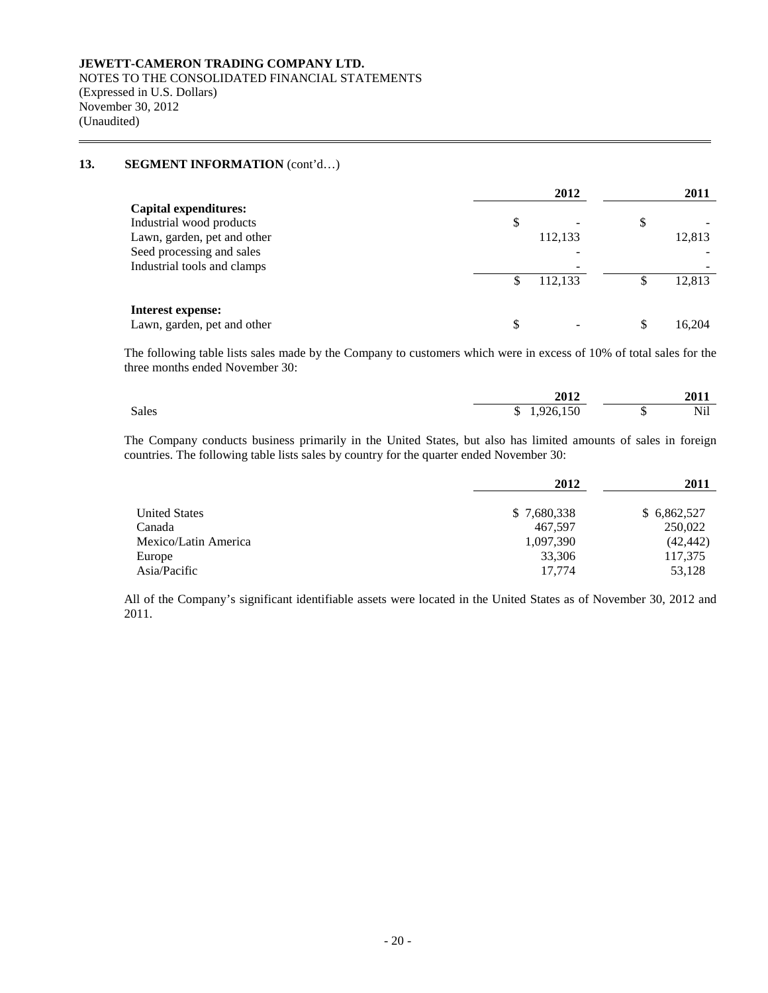NOTES TO THE CONSOLIDATED FINANCIAL STATEMENTS (Expressed in U.S. Dollars) November 30, 2012 (Unaudited)

# **13. SEGMENT INFORMATION** (cont'd…)

|                                                   |    | 2012    | 2011         |
|---------------------------------------------------|----|---------|--------------|
| Capital expenditures:<br>Industrial wood products | \$ |         | \$           |
| Lawn, garden, pet and other                       |    | 112,133 | 12,813       |
| Seed processing and sales                         |    |         |              |
| Industrial tools and clamps                       |    | -       |              |
|                                                   | S  | 112,133 | \$<br>12,813 |
| Interest expense:                                 |    |         |              |
| Lawn, garden, pet and other                       |    |         | \$<br>16.204 |

The following table lists sales made by the Company to customers which were in excess of 10% of total sales for the three months ended November 30:

|       | 2012            |                     | 2011 |
|-------|-----------------|---------------------|------|
| Sales | 1,926,150<br>J. | $\rightarrow$<br>Ъ. | Nil  |

The Company conducts business primarily in the United States, but also has limited amounts of sales in foreign countries. The following table lists sales by country for the quarter ended November 30:

|                      | 2012        | 2011        |  |
|----------------------|-------------|-------------|--|
| <b>United States</b> | \$7,680,338 | \$6,862,527 |  |
| Canada               | 467.597     | 250,022     |  |
| Mexico/Latin America | 1,097,390   | (42, 442)   |  |
| Europe               | 33,306      | 117,375     |  |
| Asia/Pacific         | 17.774      | 53,128      |  |

All of the Company's significant identifiable assets were located in the United States as of November 30, 2012 and 2011.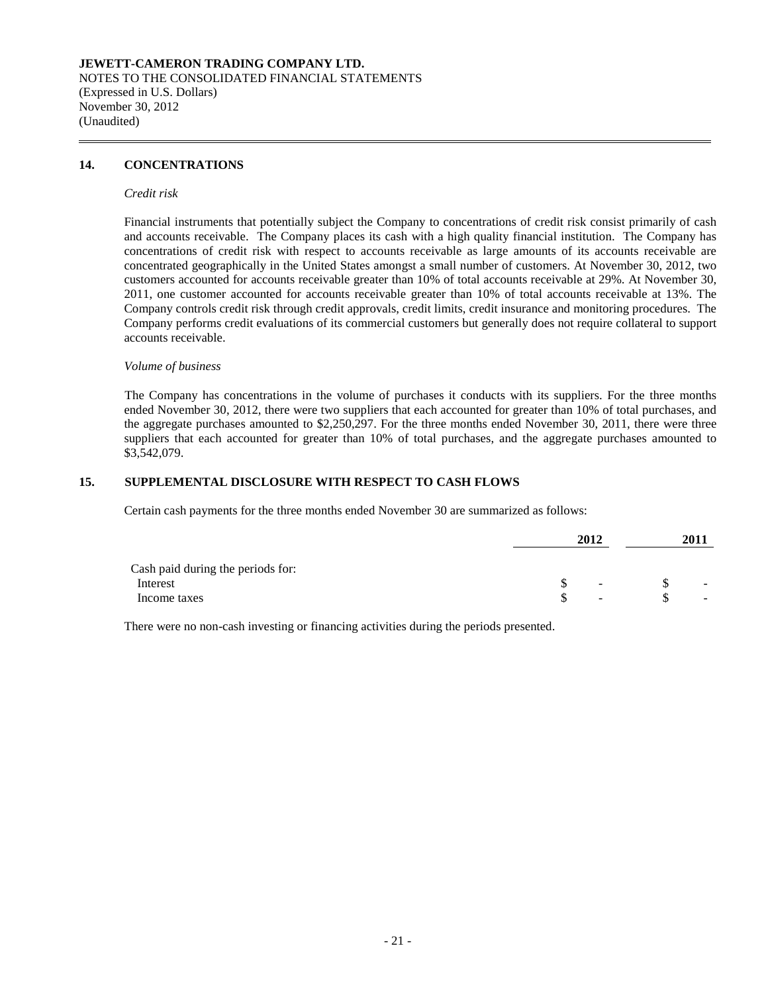# **JEWETT-CAMERON TRADING COMPANY LTD.** NOTES TO THE CONSOLIDATED FINANCIAL STATEMENTS (Expressed in U.S. Dollars) November 30, 2012 (Unaudited)

# **14. CONCENTRATIONS**

#### *Credit risk*

Financial instruments that potentially subject the Company to concentrations of credit risk consist primarily of cash and accounts receivable. The Company places its cash with a high quality financial institution. The Company has concentrations of credit risk with respect to accounts receivable as large amounts of its accounts receivable are concentrated geographically in the United States amongst a small number of customers. At November 30, 2012, two customers accounted for accounts receivable greater than 10% of total accounts receivable at 29%. At November 30, 2011, one customer accounted for accounts receivable greater than 10% of total accounts receivable at 13%. The Company controls credit risk through credit approvals, credit limits, credit insurance and monitoring procedures. The Company performs credit evaluations of its commercial customers but generally does not require collateral to support accounts receivable.

#### *Volume of business*

The Company has concentrations in the volume of purchases it conducts with its suppliers. For the three months ended November 30, 2012, there were two suppliers that each accounted for greater than 10% of total purchases, and the aggregate purchases amounted to \$2,250,297. For the three months ended November 30, 2011, there were three suppliers that each accounted for greater than 10% of total purchases, and the aggregate purchases amounted to \$3,542,079.

# **15. SUPPLEMENTAL DISCLOSURE WITH RESPECT TO CASH FLOWS**

Certain cash payments for the three months ended November 30 are summarized as follows:

|                                   | 2012           |  | 2011   |  |
|-----------------------------------|----------------|--|--------|--|
| Cash paid during the periods for: |                |  |        |  |
| Interest                          | $\blacksquare$ |  | $\sim$ |  |
| Income taxes                      | $\blacksquare$ |  | ۰.     |  |

There were no non-cash investing or financing activities during the periods presented.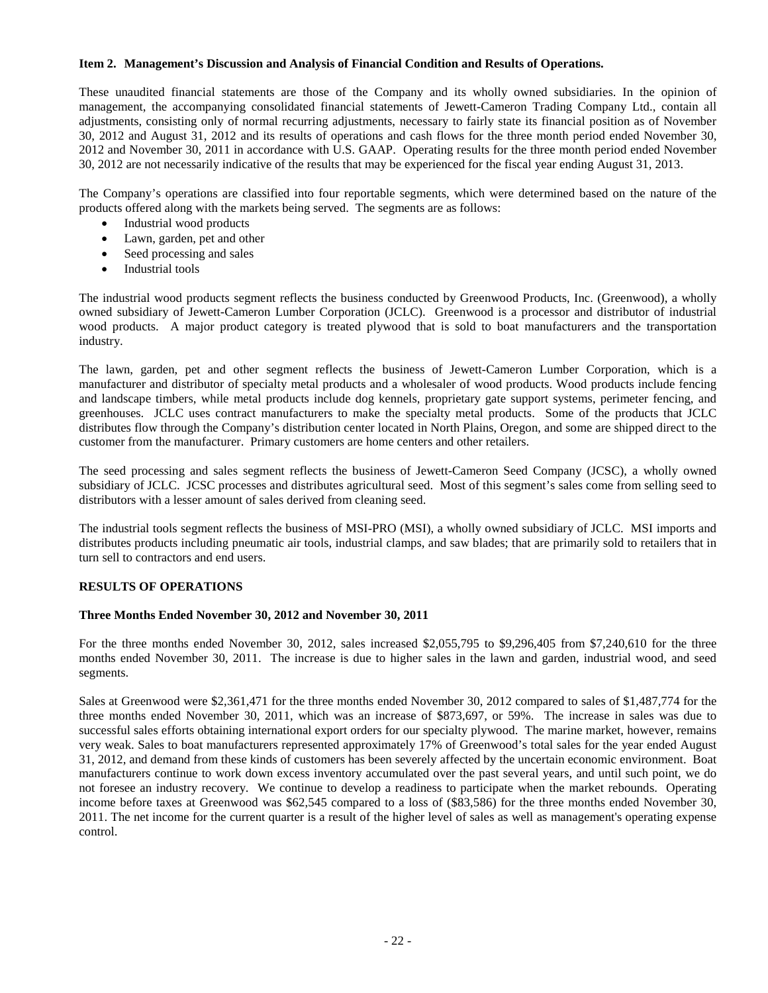## **Item 2. Management's Discussion and Analysis of Financial Condition and Results of Operations.**

These unaudited financial statements are those of the Company and its wholly owned subsidiaries. In the opinion of management, the accompanying consolidated financial statements of Jewett-Cameron Trading Company Ltd., contain all adjustments, consisting only of normal recurring adjustments, necessary to fairly state its financial position as of November 30, 2012 and August 31, 2012 and its results of operations and cash flows for the three month period ended November 30, 2012 and November 30, 2011 in accordance with U.S. GAAP. Operating results for the three month period ended November 30, 2012 are not necessarily indicative of the results that may be experienced for the fiscal year ending August 31, 2013.

The Company's operations are classified into four reportable segments, which were determined based on the nature of the products offered along with the markets being served. The segments are as follows:

- Industrial wood products
- Lawn, garden, pet and other
- Seed processing and sales
- Industrial tools

The industrial wood products segment reflects the business conducted by Greenwood Products, Inc. (Greenwood), a wholly owned subsidiary of Jewett-Cameron Lumber Corporation (JCLC). Greenwood is a processor and distributor of industrial wood products. A major product category is treated plywood that is sold to boat manufacturers and the transportation industry.

The lawn, garden, pet and other segment reflects the business of Jewett-Cameron Lumber Corporation, which is a manufacturer and distributor of specialty metal products and a wholesaler of wood products. Wood products include fencing and landscape timbers, while metal products include dog kennels, proprietary gate support systems, perimeter fencing, and greenhouses. JCLC uses contract manufacturers to make the specialty metal products. Some of the products that JCLC distributes flow through the Company's distribution center located in North Plains, Oregon, and some are shipped direct to the customer from the manufacturer. Primary customers are home centers and other retailers.

The seed processing and sales segment reflects the business of Jewett-Cameron Seed Company (JCSC), a wholly owned subsidiary of JCLC. JCSC processes and distributes agricultural seed. Most of this segment's sales come from selling seed to distributors with a lesser amount of sales derived from cleaning seed.

The industrial tools segment reflects the business of MSI-PRO (MSI), a wholly owned subsidiary of JCLC. MSI imports and distributes products including pneumatic air tools, industrial clamps, and saw blades; that are primarily sold to retailers that in turn sell to contractors and end users.

# **RESULTS OF OPERATIONS**

# **Three Months Ended November 30, 2012 and November 30, 2011**

For the three months ended November 30, 2012, sales increased \$2,055,795 to \$9,296,405 from \$7,240,610 for the three months ended November 30, 2011. The increase is due to higher sales in the lawn and garden, industrial wood, and seed segments.

Sales at Greenwood were \$2,361,471 for the three months ended November 30, 2012 compared to sales of \$1,487,774 for the three months ended November 30, 2011, which was an increase of \$873,697, or 59%. The increase in sales was due to successful sales efforts obtaining international export orders for our specialty plywood. The marine market, however, remains very weak. Sales to boat manufacturers represented approximately 17% of Greenwood's total sales for the year ended August 31, 2012, and demand from these kinds of customers has been severely affected by the uncertain economic environment. Boat manufacturers continue to work down excess inventory accumulated over the past several years, and until such point, we do not foresee an industry recovery. We continue to develop a readiness to participate when the market rebounds. Operating income before taxes at Greenwood was \$62,545 compared to a loss of (\$83,586) for the three months ended November 30, 2011. The net income for the current quarter is a result of the higher level of sales as well as management's operating expense control.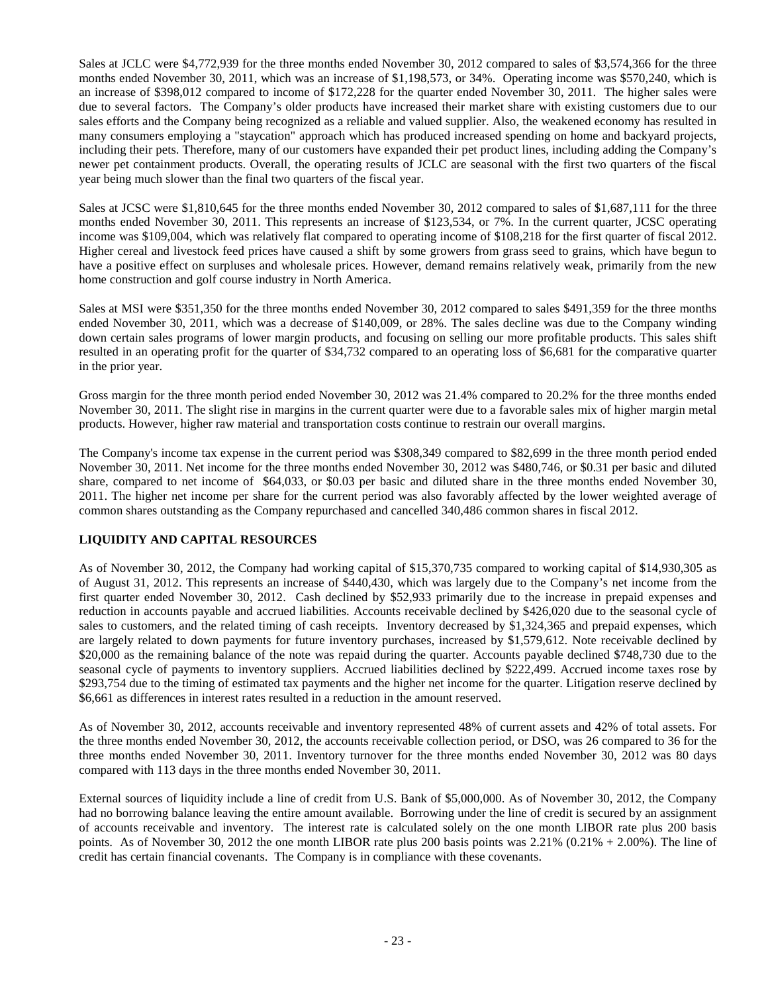Sales at JCLC were \$4,772,939 for the three months ended November 30, 2012 compared to sales of \$3,574,366 for the three months ended November 30, 2011, which was an increase of \$1,198,573, or 34%. Operating income was \$570,240, which is an increase of \$398,012 compared to income of \$172,228 for the quarter ended November 30, 2011. The higher sales were due to several factors. The Company's older products have increased their market share with existing customers due to our sales efforts and the Company being recognized as a reliable and valued supplier. Also, the weakened economy has resulted in many consumers employing a "staycation" approach which has produced increased spending on home and backyard projects, including their pets. Therefore, many of our customers have expanded their pet product lines, including adding the Company's newer pet containment products. Overall, the operating results of JCLC are seasonal with the first two quarters of the fiscal year being much slower than the final two quarters of the fiscal year.

Sales at JCSC were \$1,810,645 for the three months ended November 30, 2012 compared to sales of \$1,687,111 for the three months ended November 30, 2011. This represents an increase of \$123,534, or 7%. In the current quarter, JCSC operating income was \$109,004, which was relatively flat compared to operating income of \$108,218 for the first quarter of fiscal 2012. Higher cereal and livestock feed prices have caused a shift by some growers from grass seed to grains, which have begun to have a positive effect on surpluses and wholesale prices. However, demand remains relatively weak, primarily from the new home construction and golf course industry in North America.

Sales at MSI were \$351,350 for the three months ended November 30, 2012 compared to sales \$491,359 for the three months ended November 30, 2011, which was a decrease of \$140,009, or 28%. The sales decline was due to the Company winding down certain sales programs of lower margin products, and focusing on selling our more profitable products. This sales shift resulted in an operating profit for the quarter of \$34,732 compared to an operating loss of \$6,681 for the comparative quarter in the prior year.

Gross margin for the three month period ended November 30, 2012 was 21.4% compared to 20.2% for the three months ended November 30, 2011. The slight rise in margins in the current quarter were due to a favorable sales mix of higher margin metal products. However, higher raw material and transportation costs continue to restrain our overall margins.

The Company's income tax expense in the current period was \$308,349 compared to \$82,699 in the three month period ended November 30, 2011. Net income for the three months ended November 30, 2012 was \$480,746, or \$0.31 per basic and diluted share, compared to net income of \$64,033, or \$0.03 per basic and diluted share in the three months ended November 30, 2011. The higher net income per share for the current period was also favorably affected by the lower weighted average of common shares outstanding as the Company repurchased and cancelled 340,486 common shares in fiscal 2012.

# **LIQUIDITY AND CAPITAL RESOURCES**

As of November 30, 2012, the Company had working capital of \$15,370,735 compared to working capital of \$14,930,305 as of August 31, 2012. This represents an increase of \$440,430, which was largely due to the Company's net income from the first quarter ended November 30, 2012. Cash declined by \$52,933 primarily due to the increase in prepaid expenses and reduction in accounts payable and accrued liabilities. Accounts receivable declined by \$426,020 due to the seasonal cycle of sales to customers, and the related timing of cash receipts. Inventory decreased by \$1,324,365 and prepaid expenses, which are largely related to down payments for future inventory purchases, increased by \$1,579,612. Note receivable declined by \$20,000 as the remaining balance of the note was repaid during the quarter. Accounts payable declined \$748,730 due to the seasonal cycle of payments to inventory suppliers. Accrued liabilities declined by \$222,499. Accrued income taxes rose by \$293,754 due to the timing of estimated tax payments and the higher net income for the quarter. Litigation reserve declined by \$6,661 as differences in interest rates resulted in a reduction in the amount reserved.

As of November 30, 2012, accounts receivable and inventory represented 48% of current assets and 42% of total assets. For the three months ended November 30, 2012, the accounts receivable collection period, or DSO, was 26 compared to 36 for the three months ended November 30, 2011. Inventory turnover for the three months ended November 30, 2012 was 80 days compared with 113 days in the three months ended November 30, 2011.

External sources of liquidity include a line of credit from U.S. Bank of \$5,000,000. As of November 30, 2012, the Company had no borrowing balance leaving the entire amount available. Borrowing under the line of credit is secured by an assignment of accounts receivable and inventory. The interest rate is calculated solely on the one month LIBOR rate plus 200 basis points. As of November 30, 2012 the one month LIBOR rate plus 200 basis points was 2.21% (0.21% + 2.00%). The line of credit has certain financial covenants. The Company is in compliance with these covenants.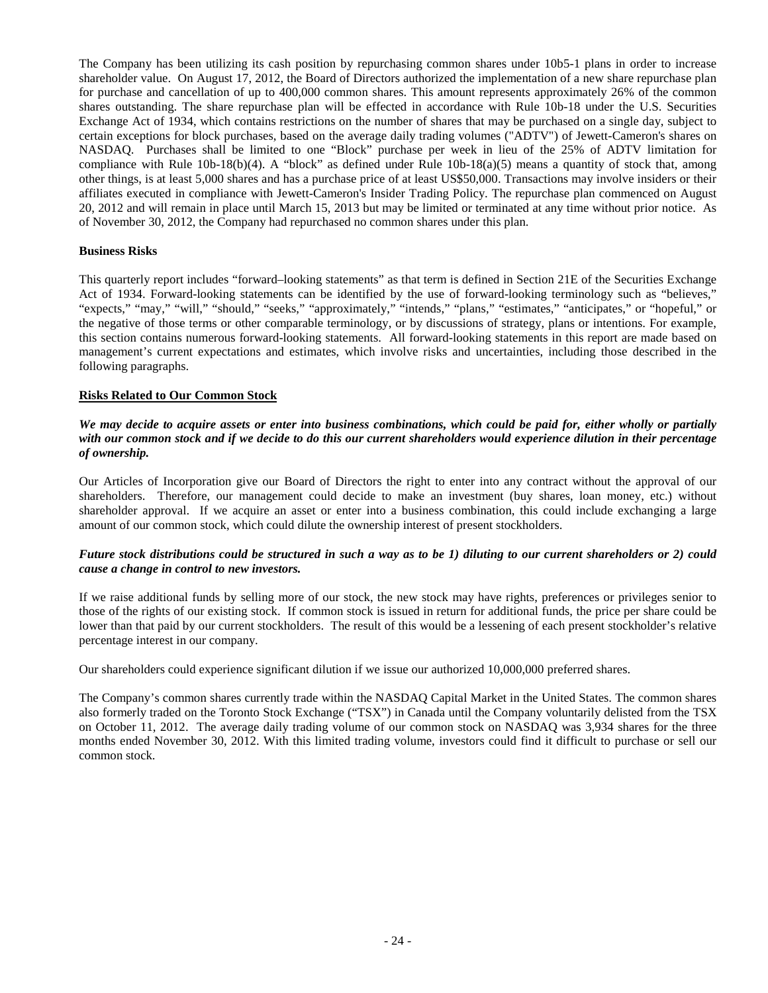The Company has been utilizing its cash position by repurchasing common shares under 10b5-1 plans in order to increase shareholder value. On August 17, 2012, the Board of Directors authorized the implementation of a new share repurchase plan for purchase and cancellation of up to 400,000 common shares. This amount represents approximately 26% of the common shares outstanding. The share repurchase plan will be effected in accordance with Rule 10b-18 under the U.S. Securities Exchange Act of 1934, which contains restrictions on the number of shares that may be purchased on a single day, subject to certain exceptions for block purchases, based on the average daily trading volumes ("ADTV") of Jewett-Cameron's shares on NASDAQ. Purchases shall be limited to one "Block" purchase per week in lieu of the 25% of ADTV limitation for compliance with Rule 10b-18(b)(4). A "block" as defined under Rule  $10b-18(a)(5)$  means a quantity of stock that, among other things, is at least 5,000 shares and has a purchase price of at least US\$50,000. Transactions may involve insiders or their affiliates executed in compliance with Jewett-Cameron's Insider Trading Policy. The repurchase plan commenced on August 20, 2012 and will remain in place until March 15, 2013 but may be limited or terminated at any time without prior notice. As of November 30, 2012, the Company had repurchased no common shares under this plan.

# **Business Risks**

This quarterly report includes "forward–looking statements" as that term is defined in Section 21E of the Securities Exchange Act of 1934. Forward-looking statements can be identified by the use of forward-looking terminology such as "believes," "expects," "may," "will," "should," "seeks," "approximately," "intends," "plans," "estimates," "anticipates," or "hopeful," or the negative of those terms or other comparable terminology, or by discussions of strategy, plans or intentions. For example, this section contains numerous forward-looking statements. All forward-looking statements in this report are made based on management's current expectations and estimates, which involve risks and uncertainties, including those described in the following paragraphs.

# **Risks Related to Our Common Stock**

*We may decide to acquire assets or enter into business combinations, which could be paid for, either wholly or partially with our common stock and if we decide to do this our current shareholders would experience dilution in their percentage of ownership.*

Our Articles of Incorporation give our Board of Directors the right to enter into any contract without the approval of our shareholders. Therefore, our management could decide to make an investment (buy shares, loan money, etc.) without shareholder approval. If we acquire an asset or enter into a business combination, this could include exchanging a large amount of our common stock, which could dilute the ownership interest of present stockholders.

# *Future stock distributions could be structured in such a way as to be 1) diluting to our current shareholders or 2) could cause a change in control to new investors.*

If we raise additional funds by selling more of our stock, the new stock may have rights, preferences or privileges senior to those of the rights of our existing stock. If common stock is issued in return for additional funds, the price per share could be lower than that paid by our current stockholders. The result of this would be a lessening of each present stockholder's relative percentage interest in our company.

Our shareholders could experience significant dilution if we issue our authorized 10,000,000 preferred shares.

The Company's common shares currently trade within the NASDAQ Capital Market in the United States. The common shares also formerly traded on the Toronto Stock Exchange ("TSX") in Canada until the Company voluntarily delisted from the TSX on October 11, 2012. The average daily trading volume of our common stock on NASDAQ was 3,934 shares for the three months ended November 30, 2012. With this limited trading volume, investors could find it difficult to purchase or sell our common stock.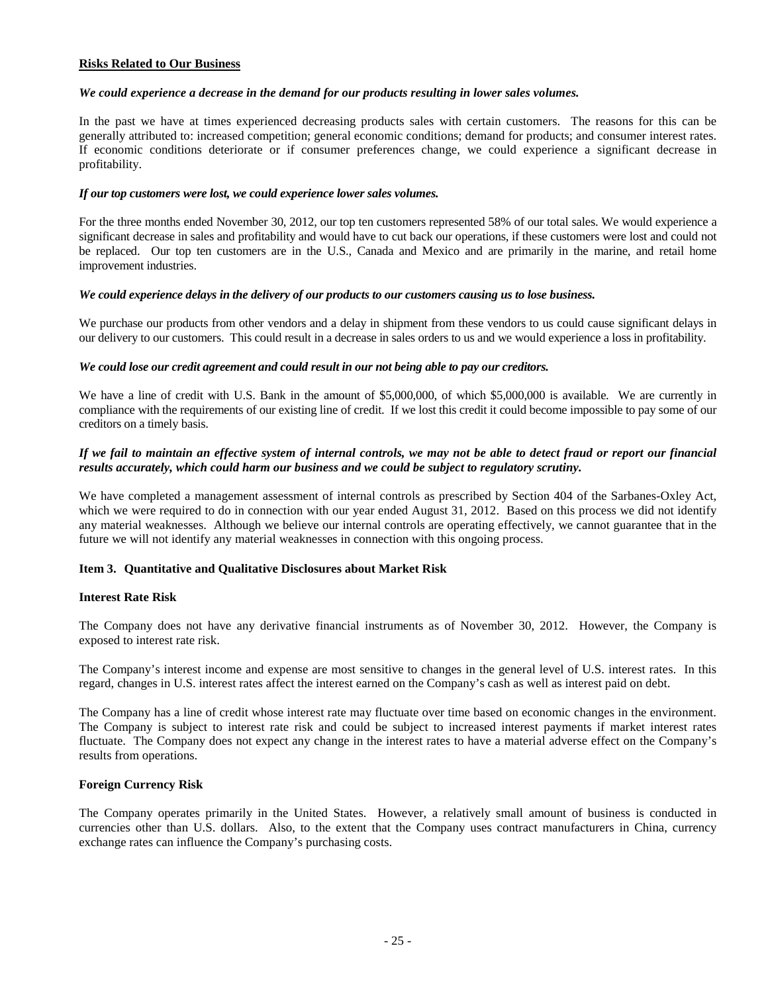# **Risks Related to Our Business**

#### *We could experience a decrease in the demand for our products resulting in lower sales volumes.*

In the past we have at times experienced decreasing products sales with certain customers. The reasons for this can be generally attributed to: increased competition; general economic conditions; demand for products; and consumer interest rates. If economic conditions deteriorate or if consumer preferences change, we could experience a significant decrease in profitability.

#### *If our top customers were lost, we could experience lower sales volumes.*

For the three months ended November 30, 2012, our top ten customers represented 58% of our total sales. We would experience a significant decrease in sales and profitability and would have to cut back our operations, if these customers were lost and could not be replaced. Our top ten customers are in the U.S., Canada and Mexico and are primarily in the marine, and retail home improvement industries.

# *We could experience delays in the delivery of our products to our customers causing us to lose business.*

We purchase our products from other vendors and a delay in shipment from these vendors to us could cause significant delays in our delivery to our customers. This could result in a decrease in sales orders to us and we would experience a loss in profitability.

#### *We could lose our credit agreement and could result in our not being able to pay our creditors.*

We have a line of credit with U.S. Bank in the amount of \$5,000,000, of which \$5,000,000 is available. We are currently in compliance with the requirements of our existing line of credit. If we lost this credit it could become impossible to pay some of our creditors on a timely basis.

# *If we fail to maintain an effective system of internal controls, we may not be able to detect fraud or report our financial results accurately, which could harm our business and we could be subject to regulatory scrutiny.*

We have completed a management assessment of internal controls as prescribed by Section 404 of the Sarbanes-Oxley Act, which we were required to do in connection with our year ended August 31, 2012. Based on this process we did not identify any material weaknesses. Although we believe our internal controls are operating effectively, we cannot guarantee that in the future we will not identify any material weaknesses in connection with this ongoing process.

#### **Item 3. Quantitative and Qualitative Disclosures about Market Risk**

#### **Interest Rate Risk**

The Company does not have any derivative financial instruments as of November 30, 2012. However, the Company is exposed to interest rate risk.

The Company's interest income and expense are most sensitive to changes in the general level of U.S. interest rates. In this regard, changes in U.S. interest rates affect the interest earned on the Company's cash as well as interest paid on debt.

The Company has a line of credit whose interest rate may fluctuate over time based on economic changes in the environment. The Company is subject to interest rate risk and could be subject to increased interest payments if market interest rates fluctuate. The Company does not expect any change in the interest rates to have a material adverse effect on the Company's results from operations.

# **Foreign Currency Risk**

The Company operates primarily in the United States. However, a relatively small amount of business is conducted in currencies other than U.S. dollars. Also, to the extent that the Company uses contract manufacturers in China, currency exchange rates can influence the Company's purchasing costs.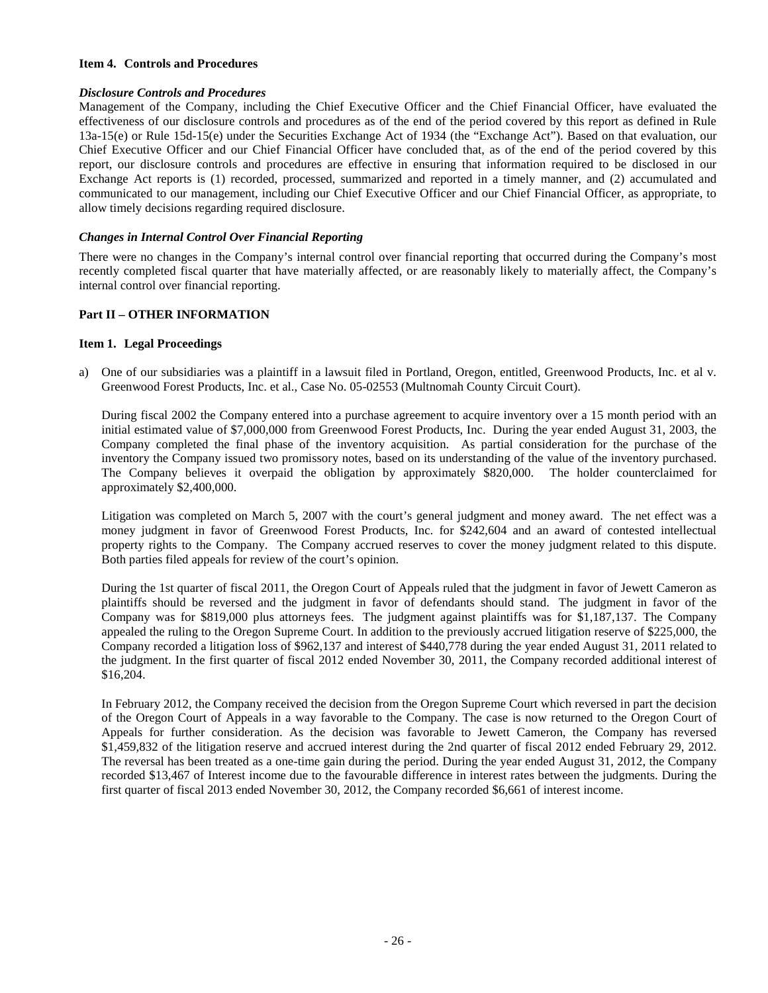### **Item 4. Controls and Procedures**

## *Disclosure Controls and Procedures*

Management of the Company, including the Chief Executive Officer and the Chief Financial Officer, have evaluated the effectiveness of our disclosure controls and procedures as of the end of the period covered by this report as defined in Rule 13a-15(e) or Rule 15d-15(e) under the Securities Exchange Act of 1934 (the "Exchange Act"). Based on that evaluation, our Chief Executive Officer and our Chief Financial Officer have concluded that, as of the end of the period covered by this report, our disclosure controls and procedures are effective in ensuring that information required to be disclosed in our Exchange Act reports is (1) recorded, processed, summarized and reported in a timely manner, and (2) accumulated and communicated to our management, including our Chief Executive Officer and our Chief Financial Officer, as appropriate, to allow timely decisions regarding required disclosure.

# *Changes in Internal Control Over Financial Reporting*

There were no changes in the Company's internal control over financial reporting that occurred during the Company's most recently completed fiscal quarter that have materially affected, or are reasonably likely to materially affect, the Company's internal control over financial reporting.

# **Part II – OTHER INFORMATION**

# **Item 1. Legal Proceedings**

a) One of our subsidiaries was a plaintiff in a lawsuit filed in Portland, Oregon, entitled, Greenwood Products, Inc. et al v. Greenwood Forest Products, Inc. et al., Case No. 05-02553 (Multnomah County Circuit Court).

During fiscal 2002 the Company entered into a purchase agreement to acquire inventory over a 15 month period with an initial estimated value of \$7,000,000 from Greenwood Forest Products, Inc. During the year ended August 31, 2003, the Company completed the final phase of the inventory acquisition. As partial consideration for the purchase of the inventory the Company issued two promissory notes, based on its understanding of the value of the inventory purchased. The Company believes it overpaid the obligation by approximately \$820,000. The holder counterclaimed for approximately \$2,400,000.

Litigation was completed on March 5, 2007 with the court's general judgment and money award. The net effect was a money judgment in favor of Greenwood Forest Products, Inc. for \$242,604 and an award of contested intellectual property rights to the Company. The Company accrued reserves to cover the money judgment related to this dispute. Both parties filed appeals for review of the court's opinion.

During the 1st quarter of fiscal 2011, the Oregon Court of Appeals ruled that the judgment in favor of Jewett Cameron as plaintiffs should be reversed and the judgment in favor of defendants should stand. The judgment in favor of the Company was for \$819,000 plus attorneys fees. The judgment against plaintiffs was for \$1,187,137. The Company appealed the ruling to the Oregon Supreme Court. In addition to the previously accrued litigation reserve of \$225,000, the Company recorded a litigation loss of \$962,137 and interest of \$440,778 during the year ended August 31, 2011 related to the judgment. In the first quarter of fiscal 2012 ended November 30, 2011, the Company recorded additional interest of \$16,204.

In February 2012, the Company received the decision from the Oregon Supreme Court which reversed in part the decision of the Oregon Court of Appeals in a way favorable to the Company. The case is now returned to the Oregon Court of Appeals for further consideration. As the decision was favorable to Jewett Cameron, the Company has reversed \$1,459,832 of the litigation reserve and accrued interest during the 2nd quarter of fiscal 2012 ended February 29, 2012. The reversal has been treated as a one-time gain during the period. During the year ended August 31, 2012, the Company recorded \$13,467 of Interest income due to the favourable difference in interest rates between the judgments. During the first quarter of fiscal 2013 ended November 30, 2012, the Company recorded \$6,661 of interest income.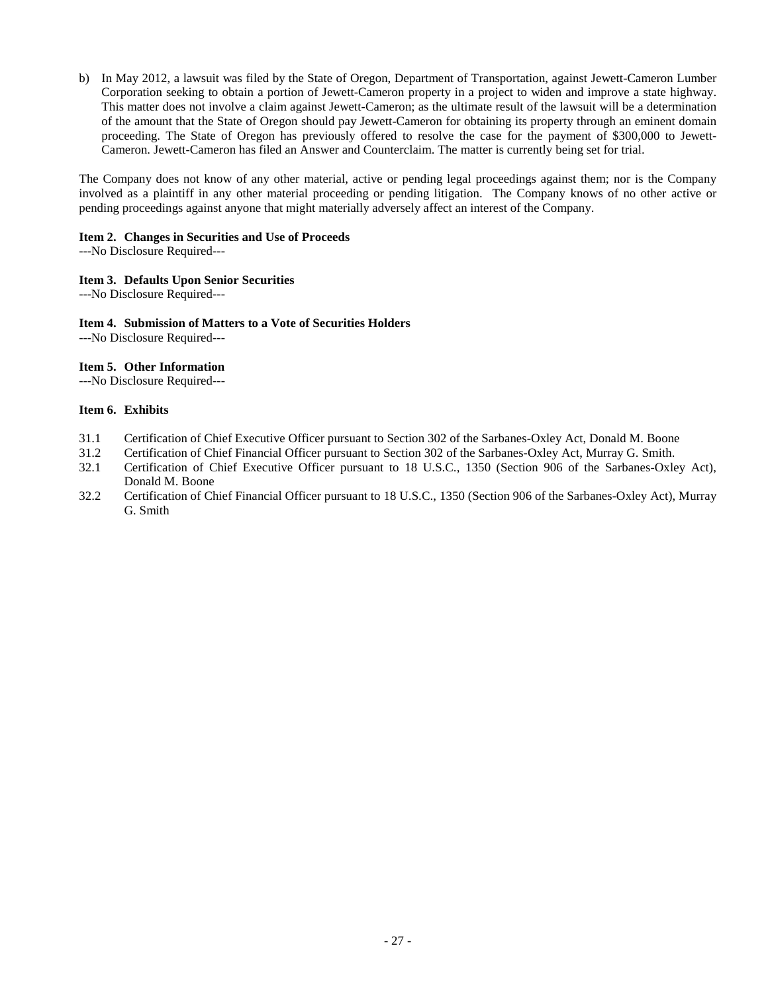b) In May 2012, a lawsuit was filed by the State of Oregon, Department of Transportation, against Jewett-Cameron Lumber Corporation seeking to obtain a portion of Jewett-Cameron property in a project to widen and improve a state highway. This matter does not involve a claim against Jewett-Cameron; as the ultimate result of the lawsuit will be a determination of the amount that the State of Oregon should pay Jewett-Cameron for obtaining its property through an eminent domain proceeding. The State of Oregon has previously offered to resolve the case for the payment of \$300,000 to Jewett-Cameron. Jewett-Cameron has filed an Answer and Counterclaim. The matter is currently being set for trial.

The Company does not know of any other material, active or pending legal proceedings against them; nor is the Company involved as a plaintiff in any other material proceeding or pending litigation. The Company knows of no other active or pending proceedings against anyone that might materially adversely affect an interest of the Company.

# **Item 2. Changes in Securities and Use of Proceeds**

---No Disclosure Required---

# **Item 3. Defaults Upon Senior Securities**

---No Disclosure Required---

# **Item 4. Submission of Matters to a Vote of Securities Holders**

---No Disclosure Required---

# **Item 5. Other Information**

---No Disclosure Required---

# **Item 6. Exhibits**

- 31.1 Certification of Chief Executive Officer pursuant to Section 302 of the Sarbanes-Oxley Act, Donald M. Boone
- 31.2 Certification of Chief Financial Officer pursuant to Section 302 of the Sarbanes-Oxley Act, Murray G. Smith.
- 32.1 Certification of Chief Executive Officer pursuant to 18 U.S.C., 1350 (Section 906 of the Sarbanes-Oxley Act), Donald M. Boone
- 32.2 Certification of Chief Financial Officer pursuant to 18 U.S.C., 1350 (Section 906 of the Sarbanes-Oxley Act), Murray G. Smith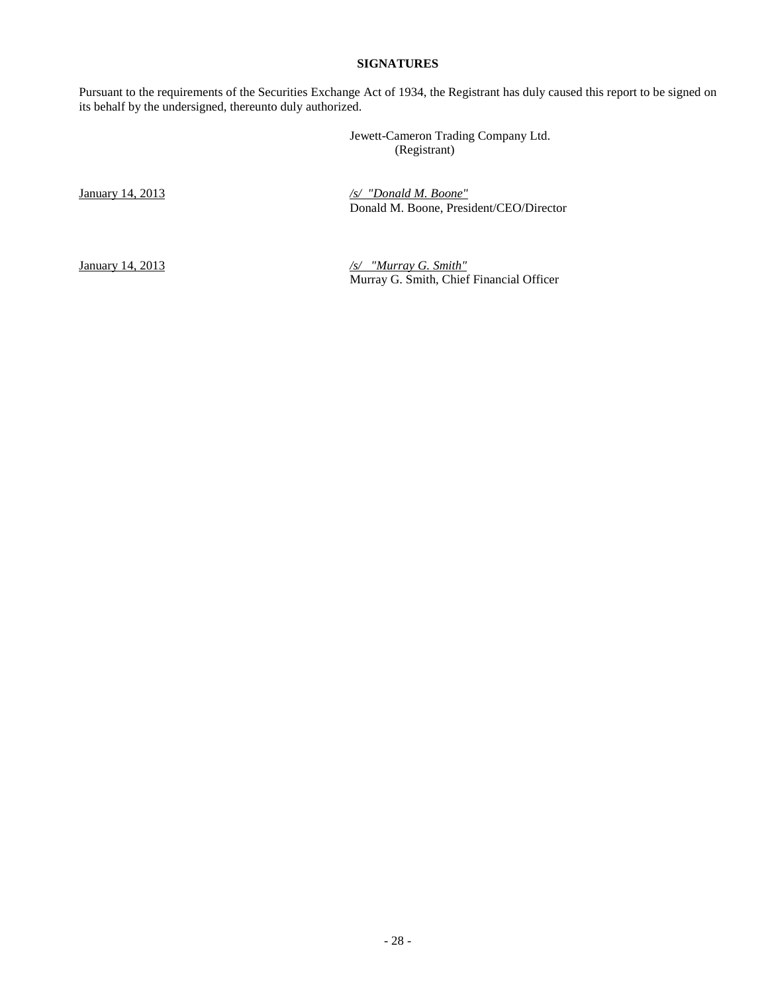# **SIGNATURES**

Pursuant to the requirements of the Securities Exchange Act of 1934, the Registrant has duly caused this report to be signed on its behalf by the undersigned, thereunto duly authorized.

> Jewett-Cameron Trading Company Ltd. (Registrant)

January 14, 2013 */s/ "Donald M. Boone"* Donald M. Boone, President/CEO/Director

January 14, 2013 */s/ "Murray G. Smith"* Murray G. Smith, Chief Financial Officer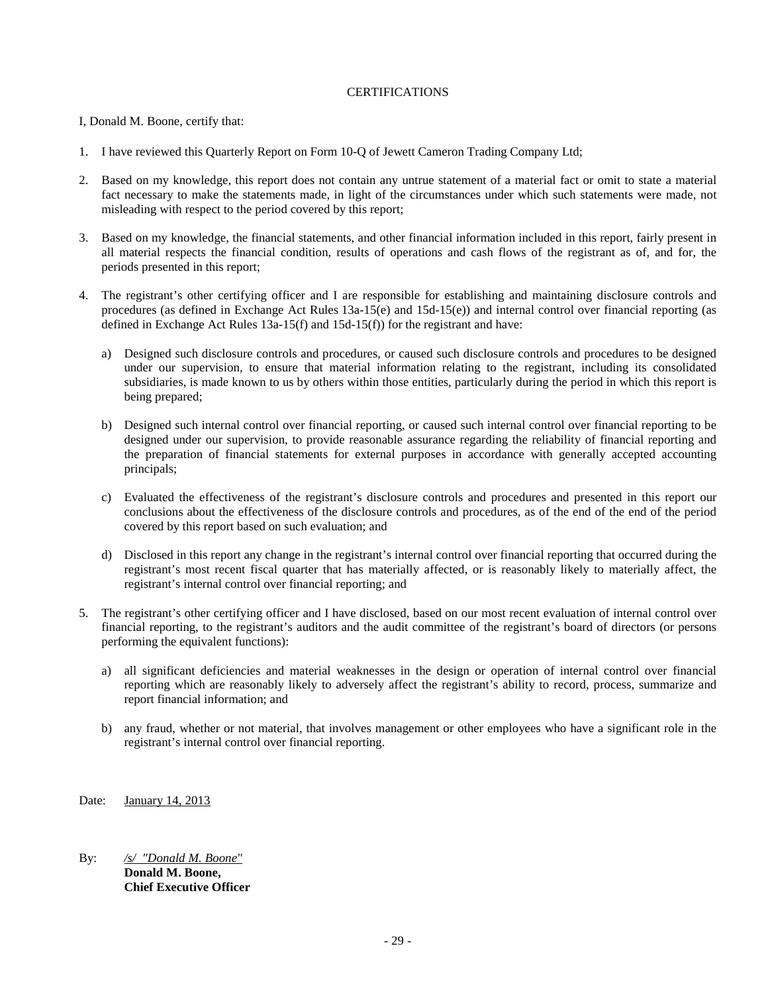# CERTIFICATIONS

I, Donald M. Boone, certify that:

- 1. I have reviewed this Quarterly Report on Form 10-Q of Jewett Cameron Trading Company Ltd;
- 2. Based on my knowledge, this report does not contain any untrue statement of a material fact or omit to state a material fact necessary to make the statements made, in light of the circumstances under which such statements were made, not misleading with respect to the period covered by this report;
- 3. Based on my knowledge, the financial statements, and other financial information included in this report, fairly present in all material respects the financial condition, results of operations and cash flows of the registrant as of, and for, the periods presented in this report;
- 4. The registrant's other certifying officer and I are responsible for establishing and maintaining disclosure controls and procedures (as defined in Exchange Act Rules 13a-15(e) and 15d-15(e)) and internal control over financial reporting (as defined in Exchange Act Rules 13a-15(f) and 15d-15(f)) for the registrant and have:
	- a) Designed such disclosure controls and procedures, or caused such disclosure controls and procedures to be designed under our supervision, to ensure that material information relating to the registrant, including its consolidated subsidiaries, is made known to us by others within those entities, particularly during the period in which this report is being prepared;
	- b) Designed such internal control over financial reporting, or caused such internal control over financial reporting to be designed under our supervision, to provide reasonable assurance regarding the reliability of financial reporting and the preparation of financial statements for external purposes in accordance with generally accepted accounting principals;
	- c) Evaluated the effectiveness of the registrant's disclosure controls and procedures and presented in this report our conclusions about the effectiveness of the disclosure controls and procedures, as of the end of the end of the period covered by this report based on such evaluation; and
	- d) Disclosed in this report any change in the registrant's internal control over financial reporting that occurred during the registrant's most recent fiscal quarter that has materially affected, or is reasonably likely to materially affect, the registrant's internal control over financial reporting; and
- 5. The registrant's other certifying officer and I have disclosed, based on our most recent evaluation of internal control over financial reporting, to the registrant's auditors and the audit committee of the registrant's board of directors (or persons performing the equivalent functions):
	- a) all significant deficiencies and material weaknesses in the design or operation of internal control over financial reporting which are reasonably likely to adversely affect the registrant's ability to record, process, summarize and report financial information; and
	- b) any fraud, whether or not material, that involves management or other employees who have a significant role in the registrant's internal control over financial reporting.

Date: January 14, 2013

By: */s/ "Donald M. Boone"* **Donald M. Boone, Chief Executive Officer**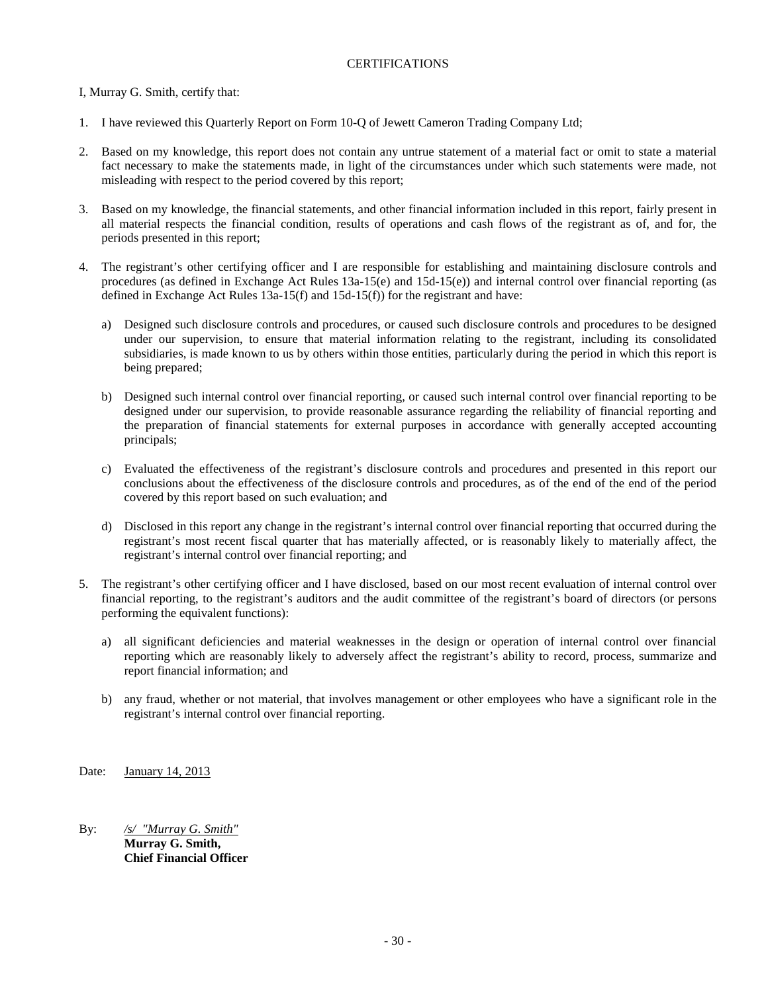# **CERTIFICATIONS**

I, Murray G. Smith, certify that:

- 1. I have reviewed this Quarterly Report on Form 10-Q of Jewett Cameron Trading Company Ltd;
- 2. Based on my knowledge, this report does not contain any untrue statement of a material fact or omit to state a material fact necessary to make the statements made, in light of the circumstances under which such statements were made, not misleading with respect to the period covered by this report;
- 3. Based on my knowledge, the financial statements, and other financial information included in this report, fairly present in all material respects the financial condition, results of operations and cash flows of the registrant as of, and for, the periods presented in this report;
- 4. The registrant's other certifying officer and I are responsible for establishing and maintaining disclosure controls and procedures (as defined in Exchange Act Rules 13a-15(e) and 15d-15(e)) and internal control over financial reporting (as defined in Exchange Act Rules 13a-15(f) and 15d-15(f)) for the registrant and have:
	- a) Designed such disclosure controls and procedures, or caused such disclosure controls and procedures to be designed under our supervision, to ensure that material information relating to the registrant, including its consolidated subsidiaries, is made known to us by others within those entities, particularly during the period in which this report is being prepared;
	- b) Designed such internal control over financial reporting, or caused such internal control over financial reporting to be designed under our supervision, to provide reasonable assurance regarding the reliability of financial reporting and the preparation of financial statements for external purposes in accordance with generally accepted accounting principals;
	- c) Evaluated the effectiveness of the registrant's disclosure controls and procedures and presented in this report our conclusions about the effectiveness of the disclosure controls and procedures, as of the end of the end of the period covered by this report based on such evaluation; and
	- d) Disclosed in this report any change in the registrant's internal control over financial reporting that occurred during the registrant's most recent fiscal quarter that has materially affected, or is reasonably likely to materially affect, the registrant's internal control over financial reporting; and
- 5. The registrant's other certifying officer and I have disclosed, based on our most recent evaluation of internal control over financial reporting, to the registrant's auditors and the audit committee of the registrant's board of directors (or persons performing the equivalent functions):
	- a) all significant deficiencies and material weaknesses in the design or operation of internal control over financial reporting which are reasonably likely to adversely affect the registrant's ability to record, process, summarize and report financial information; and
	- b) any fraud, whether or not material, that involves management or other employees who have a significant role in the registrant's internal control over financial reporting.

Date: January 14, 2013

By: */s/ "Murray G. Smith"* **Murray G. Smith, Chief Financial Officer**